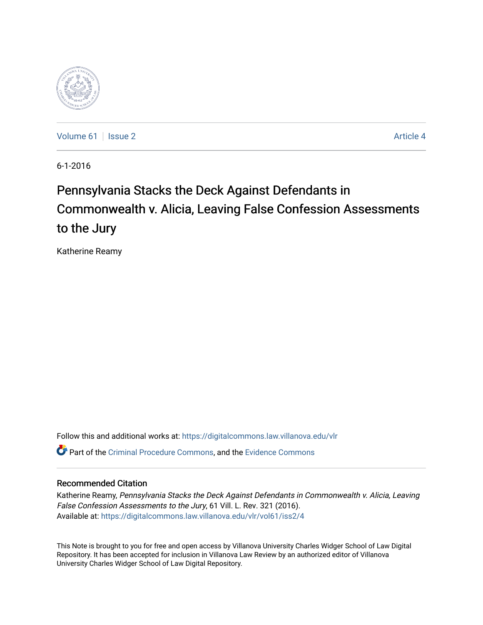

[Volume 61](https://digitalcommons.law.villanova.edu/vlr/vol61) | [Issue 2](https://digitalcommons.law.villanova.edu/vlr/vol61/iss2) Article 4

6-1-2016

# Pennsylvania Stacks the Deck Against Defendants in Commonwealth v. Alicia, Leaving False Confession Assessments to the Jury

Katherine Reamy

Follow this and additional works at: [https://digitalcommons.law.villanova.edu/vlr](https://digitalcommons.law.villanova.edu/vlr?utm_source=digitalcommons.law.villanova.edu%2Fvlr%2Fvol61%2Fiss2%2F4&utm_medium=PDF&utm_campaign=PDFCoverPages) Part of the [Criminal Procedure Commons,](http://network.bepress.com/hgg/discipline/1073?utm_source=digitalcommons.law.villanova.edu%2Fvlr%2Fvol61%2Fiss2%2F4&utm_medium=PDF&utm_campaign=PDFCoverPages) and the [Evidence Commons](http://network.bepress.com/hgg/discipline/601?utm_source=digitalcommons.law.villanova.edu%2Fvlr%2Fvol61%2Fiss2%2F4&utm_medium=PDF&utm_campaign=PDFCoverPages)

# Recommended Citation

Katherine Reamy, Pennsylvania Stacks the Deck Against Defendants in Commonwealth v. Alicia, Leaving False Confession Assessments to the Jury, 61 Vill. L. Rev. 321 (2016). Available at: [https://digitalcommons.law.villanova.edu/vlr/vol61/iss2/4](https://digitalcommons.law.villanova.edu/vlr/vol61/iss2/4?utm_source=digitalcommons.law.villanova.edu%2Fvlr%2Fvol61%2Fiss2%2F4&utm_medium=PDF&utm_campaign=PDFCoverPages) 

This Note is brought to you for free and open access by Villanova University Charles Widger School of Law Digital Repository. It has been accepted for inclusion in Villanova Law Review by an authorized editor of Villanova University Charles Widger School of Law Digital Repository.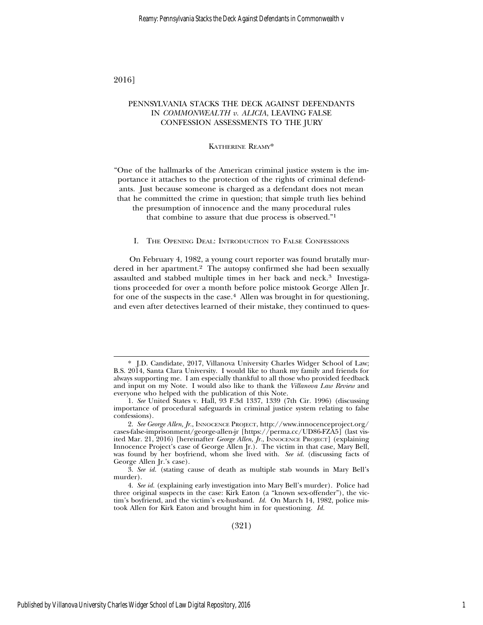### 2016]

# PENNSYLVANIA STACKS THE DECK AGAINST DEFENDANTS IN *COMMONWEALTH v. ALICIA*, LEAVING FALSE CONFESSION ASSESSMENTS TO THE JURY

#### KATHERINE REAMY\*

"One of the hallmarks of the American criminal justice system is the importance it attaches to the protection of the rights of criminal defendants. Just because someone is charged as a defendant does not mean that he committed the crime in question; that simple truth lies behind

the presumption of innocence and the many procedural rules

that combine to assure that due process is observed."<sup>1</sup>

#### I. THE OPENING DEAL: INTRODUCTION TO FALSE CONFESSIONS

On February 4, 1982, a young court reporter was found brutally murdered in her apartment.<sup>2</sup> The autopsy confirmed she had been sexually assaulted and stabbed multiple times in her back and neck.3 Investigations proceeded for over a month before police mistook George Allen Jr. for one of the suspects in the case.4 Allen was brought in for questioning, and even after detectives learned of their mistake, they continued to ques-

<sup>\*</sup> J.D. Candidate, 2017, Villanova University Charles Widger School of Law; B.S. 2014, Santa Clara University. I would like to thank my family and friends for always supporting me. I am especially thankful to all those who provided feedback and input on my Note. I would also like to thank the *Villanova Law Review* and everyone who helped with the publication of this Note.

<sup>1.</sup> *See* United States v. Hall, 93 F.3d 1337, 1339 (7th Cir. 1996) (discussing importance of procedural safeguards in criminal justice system relating to false confessions).

<sup>2.</sup> *See George Allen, Jr.*, INNOCENCE PROJECT, http://www.innocenceproject.org/ cases-false-imprisonment/george-allen-jr [https://perma.cc/UD86-FZA5] (last visited Mar. 21, 2016) [hereinafter *George Allen, Jr.*, INNOCENCE PROJECT] (explaining Innocence Project's case of George Allen Jr.). The victim in that case, Mary Bell, was found by her boyfriend, whom she lived with. *See id.* (discussing facts of George Allen Jr.'s case).

<sup>3.</sup> *See id.* (stating cause of death as multiple stab wounds in Mary Bell's murder).

<sup>4.</sup> *See id.* (explaining early investigation into Mary Bell's murder). Police had three original suspects in the case: Kirk Eaton (a "known sex-offender"), the victim's boyfriend, and the victim's ex-husband. *Id.* On March 14, 1982, police mistook Allen for Kirk Eaton and brought him in for questioning. *Id.*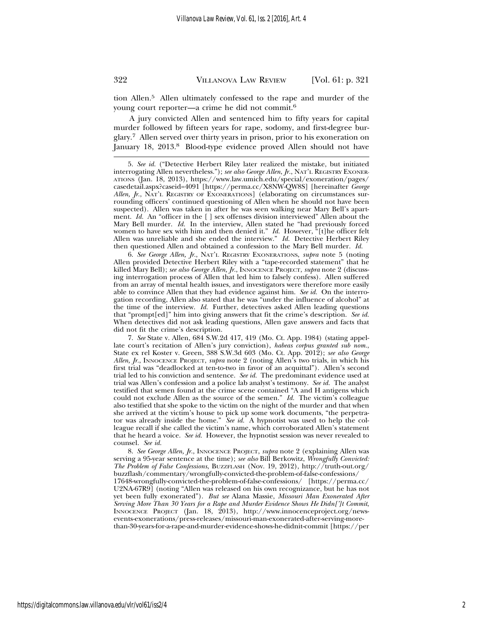tion Allen.5 Allen ultimately confessed to the rape and murder of the young court reporter—a crime he did not commit.<sup>6</sup>

A jury convicted Allen and sentenced him to fifty years for capital murder followed by fifteen years for rape, sodomy, and first-degree burglary.7 Allen served over thirty years in prison, prior to his exoneration on January 18, 2013.8 Blood-type evidence proved Allen should not have

6. *See George Allen, Jr.*, NAT'L REGISTRY EXONERATIONS, *supra* note 5 (noting Allen provided Detective Herbert Riley with a "tape-recorded statement" that he killed Mary Bell); *see also George Allen, Jr.*, INNOCENCE PROJECT, *supra* note 2 (discussing interrogation process of Allen that led him to falsely confess). Allen suffered from an array of mental health issues, and investigators were therefore more easily able to convince Allen that they had evidence against him. *See id.* On the interrogation recording, Allen also stated that he was "under the influence of alcohol" at the time of the interview. *Id.* Further, detectives asked Allen leading questions that "prompt[ed]" him into giving answers that fit the crime's description. *See id.* When detectives did not ask leading questions, Allen gave answers and facts that did not fit the crime's description.

7. *See* State v. Allen, 684 S.W.2d 417, 419 (Mo. Ct. App. 1984) (stating appellate court's recitation of Allen's jury conviction), *habeas corpus granted sub nom.*, State ex rel Koster v. Green, 388 S.W.3d 603 (Mo. Ct. App. 2012); *see also George* Allen, *Jr.*, INNOCENCE PROJECT, *supra* note 2 (noting Allen's two trials, in which his first trial was "deadlocked at ten-to-two in favor of an acquittal"). Allen's second trial led to his conviction and sentence. *See id.* The predominant evidence used at trial was Allen's confession and a police lab analyst's testimony. *See id.* The analyst testified that semen found at the crime scene contained "A and H antigens which could not exclude Allen as the source of the semen." *Id.* The victim's colleague also testified that she spoke to the victim on the night of the murder and that when she arrived at the victim's house to pick up some work documents, "the perpetrator was already inside the home." *See id.* A hypnotist was used to help the colleague recall if she called the victim's name, which corroborated Allen's statement that he heard a voice. *See id.* However, the hypnotist session was never revealed to counsel. *See id.*

8. *See George Allen, Jr.*, INNOCENCE PROJECT, *supra* note 2 (explaining Allen was serving a 95-year sentence at the time); *see also* Bill Berkowitz, *Wrongfully Convicted: The Problem of False Confessions*, BUZZFLASH (Nov. 19, 2012), http://truth-out.org/ buzzflash/commentary/wrongfully-convicted-the-problem-of-false-confessions/ 17648-wrongfully-convicted-the-problem-of-false-confessions/ [https://perma.cc/ U2NA-67R9] (noting "Allen was released on his own recognizance, but he has not yet been fully exonerated"). *But see* Alana Massie, *Missouri Man Exonerated After Serving More Than 30 Years for a Rape and Murder Evidence Shows He Didn[']t Commit*, INNOCENCE PROJECT (Jan. 18, 2013), http://www.innocenceproject.org/newsevents-exonerations/press-releases/missouri-man-exonerated-after-serving-morethan-30-years-for-a-rape-and-murder-evidence-shows-he-didnit-commit [https://per

<sup>5.</sup> *See id.* ("Detective Herbert Riley later realized the mistake, but initiated interrogating Allen nevertheless."); *see also George Allen*, *Jr.*, NAT'L REGISTRY EXONER-ATIONS (Jan. 18, 2013), https://www.law.umich.edu/special/exoneration/pages/ casedetail.aspx?caseid=4091 [https://perma.cc/X8NW-QW8S] [hereinafter *George* Allen, Jr., NAT'L REGISTRY OF EXONERATIONS] (elaborating on circumstances surrounding officers' continued questioning of Allen when he should not have been suspected). Allen was taken in after he was seen walking near Mary Bell's apartment. *Id.* An "officer in the [ ] sex offenses division interviewed" Allen about the Mary Bell murder. *Id.* In the interview, Allen stated he "had previously forced women to have sex with him and then denied it." *Id.* However, "[t]he officer felt Allen was unreliable and she ended the interview." *Id.* Detective Herbert Riley then questioned Allen and obtained a confession to the Mary Bell murder. *Id.*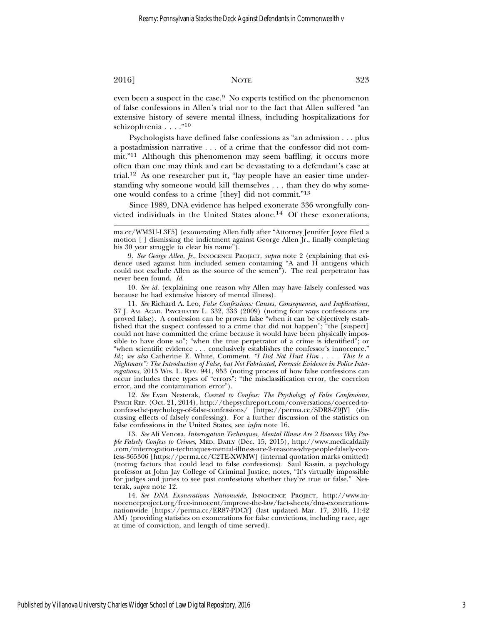even been a suspect in the case.<sup>9</sup> No experts testified on the phenomenon of false confessions in Allen's trial nor to the fact that Allen suffered "an extensive history of severe mental illness, including hospitalizations for schizophrenia . . . . "<sup>10</sup>

Psychologists have defined false confessions as "an admission . . . plus a postadmission narrative . . . of a crime that the confessor did not commit."11 Although this phenomenon may seem baffling, it occurs more often than one may think and can be devastating to a defendant's case at trial.12 As one researcher put it, "lay people have an easier time understanding why someone would kill themselves . . . than they do why someone would confess to a crime [they] did not commit."<sup>13</sup>

Since 1989, DNA evidence has helped exonerate 336 wrongfully convicted individuals in the United States alone.14 Of these exonerations,

10. *See id.* (explaining one reason why Allen may have falsely confessed was because he had extensive history of mental illness).

11. *See* Richard A. Leo, *False Confessions: Causes, Consequences, and Implications*, 37 J. AM. ACAD. PSYCHIATRY L. 332, 333 (2009) (noting four ways confessions are proved false). A confession can be proven false "when it can be objectively established that the suspect confessed to a crime that did not happen"; "the [suspect] could not have committed the crime because it would have been physically impossible to have done so"; "when the true perpetrator of a crime is identified"; or "when scientific evidence . . . conclusively establishes the confessor's innocence." *Id.*; *see also* Catherine E. White, Comment, *"I Did Not Hurt Him . . . . This Is a Nightmare": The Introduction of False, but Not Fabricated, Forensic Evidence in Police Interrogations*, 2015 WIS. L. REV. 941, 953 (noting process of how false confessions can occur includes three types of "errors": "the misclassification error, the coercion error, and the contamination error").

12. *See* Evan Nesterak, *Coerced to Confess: The Psychology of False Confessions*, PSYCH REP. (Oct. 21, 2014), http://thepsychreport.com/conversations/coerced-toconfess-the-psychology-of-false-confessions/ [https://perma.cc/SDR8-Z9JY] (discussing effects of falsely confessing). For a further discussion of the statistics on false confessions in the United States, see *infra* note 16.

13. *See* Ali Venosa, *Interrogation Techniques, Mental Illness Are 2 Reasons Why People Falsely Confess to Crimes*, MED. DAILY (Dec. 15, 2015), http://www.medicaldaily .com/interrogation-techniques-mental-illness-are-2-reasons-why-people-falsely-confess-365306 [https://perma.cc/C2TE-XWMW] (internal quotation marks omitted) (noting factors that could lead to false confessions). Saul Kassin, a psychology professor at John Jay College of Criminal Justice, notes, "It's virtually impossible for judges and juries to see past confessions whether they're true or false." Nesterak, *supra* note 12.

14. *See DNA Exonerations Nationwide*, INNOCENCE PROJECT, http://www.innocenceproject.org/free-innocent/improve-the-law/fact-sheets/dna-exonerationsnationwide [https://perma.cc/ER87-PDCY] (last updated Mar. 17, 2016, 11:42 AM) (providing statistics on exonerations for false convictions, including race, age at time of conviction, and length of time served).

ma.cc/WM3U-L3F5] (exonerating Allen fully after "Attorney Jennifer Joyce filed a motion [ ] dismissing the indictment against George Allen Jr., finally completing his 30 year struggle to clear his name").

<sup>9.</sup> *See George Allen, Jr.*, INNOCENCE PROJECT, *supra* note 2 (explaining that evidence used against him included semen containing "A and H antigens which could not exclude Allen as the source of the semen"). The real perpetrator has never been found. *Id.*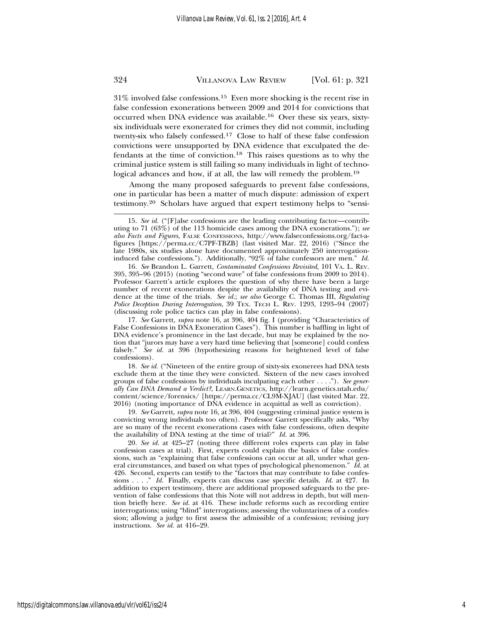$31\%$  involved false confessions.<sup>15</sup> Even more shocking is the recent rise in false confession exonerations between 2009 and 2014 for convictions that occurred when DNA evidence was available.16 Over these six years, sixtysix individuals were exonerated for crimes they did not commit, including twenty-six who falsely confessed.17 Close to half of these false confession convictions were unsupported by DNA evidence that exculpated the defendants at the time of conviction.18 This raises questions as to why the criminal justice system is still failing so many individuals in light of technological advances and how, if at all, the law will remedy the problem.<sup>19</sup>

Among the many proposed safeguards to prevent false confessions, one in particular has been a matter of much dispute: admission of expert testimony.20 Scholars have argued that expert testimony helps to "sensi-

16. *See* Brandon L. Garrett, *Contaminated Confessions Revisited*, 101 VA. L. REV. 395, 395–96 (2015) (noting "second wave" of false confessions from 2009 to 2014). Professor Garrett's article explores the question of why there have been a large number of recent exonerations despite the availability of DNA testing and evidence at the time of the trials. *See id.*; *see also* George C. Thomas III, *Regulating Police Deception During Interrogation*, 39 TEX. TECH L. REV. 1293, 1293–94 (2007) (discussing role police tactics can play in false confessions).

17. *See* Garrett, *supra* note 16, at 396, 404 fig. I (providing "Characteristics of False Confessions in DNA Exoneration Cases"). This number is baffling in light of DNA evidence's prominence in the last decade, but may be explained by the notion that "jurors may have a very hard time believing that [someone] could confess falsely." *See id.* at 396 (hypothesizing reasons for heightened level of false confessions).

18. *See id.* ("Nineteen of the entire group of sixty-six exonerees had DNA tests exclude them at the time they were convicted. Sixteen of the new cases involved groups of false confessions by individuals inculpating each other . . . ."). *See generally Can DNA Demand a Verdict?*, LEARN.GENETICS, http://learn.genetics.utah.edu/ content/science/forensics/ [https://perma.cc/CL9M-XJAU] (last visited Mar. 22, 2016) (noting importance of DNA evidence in acquittal as well as conviction).

19. *See* Garrett, *supra* note 16, at 396, 404 (suggesting criminal justice system is convicting wrong individuals too often). Professor Garrett specifically asks, "Why are so many of the recent exonerations cases with false confessions, often despite the availability of DNA testing at the time of trial?" *Id.* at 396.

20. *See id.* at 425–27 (noting three different roles experts can play in false confession cases at trial). First, experts could explain the basics of false confessions, such as "explaining that false confessions can occur at all, under what general circumstances, and based on what types of psychological phenomenon." *Id.* at 426. Second, experts can testify to the "factors that may contribute to false confessions . . . ." *Id.* Finally, experts can discuss case specific details. *Id.* at 427. In addition to expert testimony, there are additional proposed safeguards to the prevention of false confessions that this Note will not address in depth, but will mention briefly here. *See id.* at 416. These include reforms such as recording entire interrogations; using "blind" interrogations; assessing the voluntariness of a confession; allowing a judge to first assess the admissible of a confession; revising jury instructions. *See id.* at 416–29.

<sup>15.</sup> *See id.* ("[F]alse confessions are the leading contributing factor—contributing to 71 (63%) of the 113 homicide cases among the DNA exonerations."); *see also Facts and Figures*, FALSE CONFESSIONS, http://www.falseconfessions.org/fact-afigures [https://perma.cc/C7PF-TBZB] (last visited Mar. 22, 2016) ("Since the late 1980s, six studies alone have documented approximately 250 interrogationinduced false confessions."). Additionally, "92% of false confessors are men." *Id.*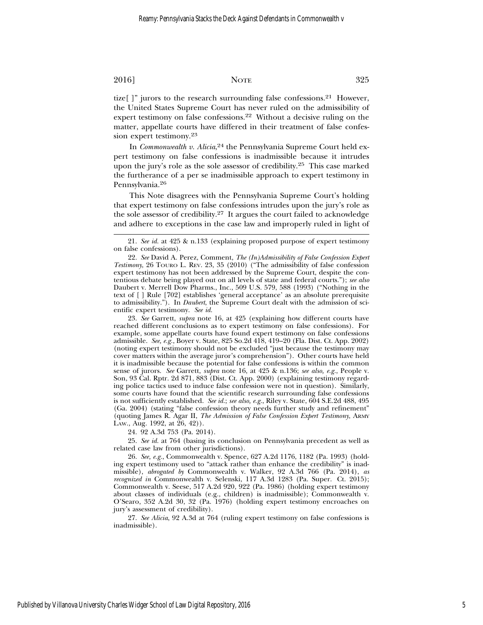tize[]" jurors to the research surrounding false confessions.<sup>21</sup> However, the United States Supreme Court has never ruled on the admissibility of expert testimony on false confessions.<sup>22</sup> Without a decisive ruling on the matter, appellate courts have differed in their treatment of false confession expert testimony.<sup>23</sup>

In *Commonwealth v. Alicia*, 24 the Pennsylvania Supreme Court held expert testimony on false confessions is inadmissible because it intrudes upon the jury's role as the sole assessor of credibility.<sup>25</sup> This case marked the furtherance of a per se inadmissible approach to expert testimony in Pennsylvania.26

This Note disagrees with the Pennsylvania Supreme Court's holding that expert testimony on false confessions intrudes upon the jury's role as the sole assessor of credibility.<sup>27</sup> It argues the court failed to acknowledge and adhere to exceptions in the case law and improperly ruled in light of

23. *See* Garrett, *supra* note 16, at 425 (explaining how different courts have reached different conclusions as to expert testimony on false confessions). For example, some appellate courts have found expert testimony on false confessions admissible. *See, e.g.*, Boyer v. State, 825 So.2d 418, 419–20 (Fla. Dist. Ct. App. 2002) (noting expert testimony should not be excluded "just because the testimony may cover matters within the average juror's comprehension"). Other courts have held it is inadmissible because the potential for false confessions is within the common sense of jurors. *See* Garrett, *supra* note 16, at 425 & n.136; *see also, e.g.*, People v. Son, 93 Cal. Rptr. 2d 871, 883 (Dist. Ct. App. 2000) (explaining testimony regarding police tactics used to induce false confession were not in question). Similarly, some courts have found that the scientific research surrounding false confessions is not sufficiently established. *See id.*; *see also, e.g.*, Riley v. State, 604 S.E.2d 488, 495 (Ga. 2004) (stating "false confession theory needs further study and refinement" (quoting James R. Agar II, *The Admission of False Confession Expert Testimony*, ARMY LAW., Aug. 1992, at 26, 42)).

24. 92 A.3d 753 (Pa. 2014).

25. *See id.* at 764 (basing its conclusion on Pennsylvania precedent as well as related case law from other jurisdictions).

26. *See, e.g.*, Commonwealth v. Spence, 627 A.2d 1176, 1182 (Pa. 1993) (holding expert testimony used to "attack rather than enhance the credibility" is inadmissible), *abrogated by* Commonwealth v. Walker, 92 A.3d 766 (Pa. 2014), *as recognized in* Commonwealth v. Selenski, 117 A.3d 1283 (Pa. Super. Ct. 2015); Commonwealth v. Seese, 517 A.2d 920, 922 (Pa. 1986) (holding expert testimony about classes of individuals (e.g., children) is inadmissible); Commonwealth v. O'Searo, 352 A.2d 30, 32 (Pa. 1976) (holding expert testimony encroaches on jury's assessment of credibility).

27. *See Alicia*, 92 A.3d at 764 (ruling expert testimony on false confessions is inadmissible).

<sup>21.</sup> *See id.* at 425 & n.133 (explaining proposed purpose of expert testimony on false confessions).

<sup>22.</sup> *See* David A. Perez, Comment, *The (In)Admissibility of False Confession Expert Testimony*, 26 TOURO L. REV. 23, 35 (2010) ("The admissibility of false confession expert testimony has not been addressed by the Supreme Court, despite the contentious debate being played out on all levels of state and federal courts."); *see also* Daubert v. Merrell Dow Pharms., Inc., 509 U.S. 579, 588 (1993) ("Nothing in the text of [ ] Rule [702] establishes 'general acceptance' as an absolute prerequisite to admissibility."). In *Daubert*, the Supreme Court dealt with the admission of scientific expert testimony. *See id.*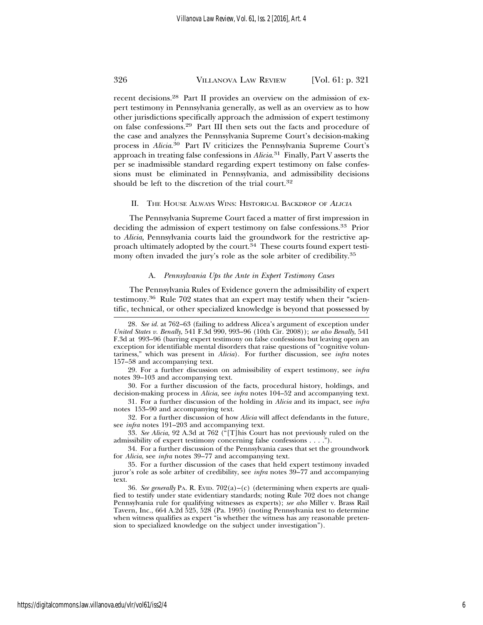recent decisions.28 Part II provides an overview on the admission of expert testimony in Pennsylvania generally, as well as an overview as to how other jurisdictions specifically approach the admission of expert testimony on false confessions.29 Part III then sets out the facts and procedure of the case and analyzes the Pennsylvania Supreme Court's decision-making process in *Alicia*. 30 Part IV criticizes the Pennsylvania Supreme Court's approach in treating false confessions in *Alicia*. 31 Finally, Part V asserts the per se inadmissible standard regarding expert testimony on false confessions must be eliminated in Pennsylvania, and admissibility decisions should be left to the discretion of the trial court.<sup>32</sup>

#### II. THE HOUSE ALWAYS WINS: HISTORICAL BACKDROP OF <sup>A</sup>LICIA

The Pennsylvania Supreme Court faced a matter of first impression in deciding the admission of expert testimony on false confessions.33 Prior to *Alicia*, Pennsylvania courts laid the groundwork for the restrictive approach ultimately adopted by the court.<sup>34</sup> These courts found expert testimony often invaded the jury's role as the sole arbiter of credibility.<sup>35</sup>

#### A. *Pennsylvania Ups the Ante in Expert Testimony Cases*

The Pennsylvania Rules of Evidence govern the admissibility of expert testimony.36 Rule 702 states that an expert may testify when their "scientific, technical, or other specialized knowledge is beyond that possessed by

<sup>28.</sup> *See id.* at 762–63 (failing to address Alicea's argument of exception under *United States v. Benally*, 541 F.3d 990, 993–96 (10th Cir. 2008)); *see also Benally*, 541 F.3d at 993–96 (barring expert testimony on false confessions but leaving open an exception for identifiable mental disorders that raise questions of "cognitive voluntariness," which was present in *Alicia*). For further discussion, see *infra* notes 157–58 and accompanying text.

<sup>29.</sup> For a further discussion on admissibility of expert testimony, see *infra* notes 39–103 and accompanying text.

<sup>30.</sup> For a further discussion of the facts, procedural history, holdings, and decision-making process in *Alicia*, see *infra* notes 104–52 and accompanying text.

<sup>31.</sup> For a further discussion of the holding in *Alicia* and its impact, see *infra* notes 153–90 and accompanying text.

<sup>32.</sup> For a further discussion of how *Alicia* will affect defendants in the future, see *infra* notes 191–203 and accompanying text.

<sup>33.</sup> *See Alicia*, 92 A.3d at 762 ("[T]his Court has not previously ruled on the admissibility of expert testimony concerning false confessions . . . .").

<sup>34.</sup> For a further discussion of the Pennsylvania cases that set the groundwork for *Alicia*, see *infra* notes 39–77 and accompanying text.

<sup>35.</sup> For a further discussion of the cases that held expert testimony invaded juror's role as sole arbiter of credibility, see *infra* notes 39–77 and accompanying text.

<sup>36.</sup> *See generally* PA. R. EVID. 702(a)–(c) (determining when experts are qualified to testify under state evidentiary standards; noting Rule 702 does not change Pennsylvania rule for qualifying witnesses as experts); *see also* Miller v. Brass Rail Tavern, Inc., 664 A.2d 525, 528 (Pa. 1995) (noting Pennsylvania test to determine when witness qualifies as expert "is whether the witness has any reasonable pretension to specialized knowledge on the subject under investigation").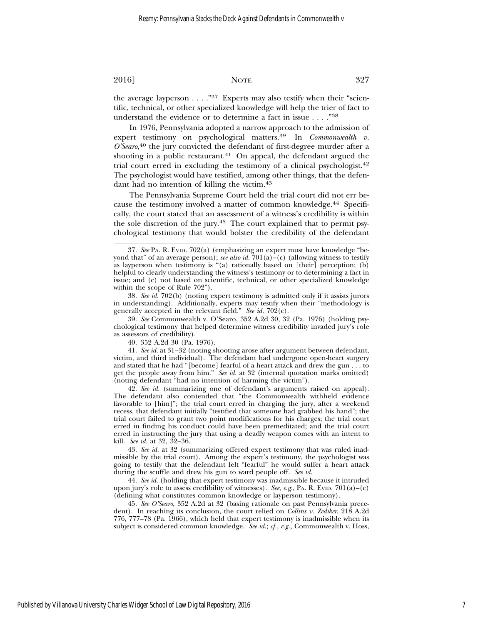the average layperson  $\dots$ ."<sup>37</sup> Experts may also testify when their "scientific, technical, or other specialized knowledge will help the trier of fact to understand the evidence or to determine a fact in issue . . . ."<sup>38</sup>

In 1976, Pennsylvania adopted a narrow approach to the admission of expert testimony on psychological matters.39 In *Commonwealth v. O'Searo*, 40 the jury convicted the defendant of first-degree murder after a shooting in a public restaurant.<sup>41</sup> On appeal, the defendant argued the trial court erred in excluding the testimony of a clinical psychologist.<sup>42</sup> The psychologist would have testified, among other things, that the defendant had no intention of killing the victim.<sup>43</sup>

The Pennsylvania Supreme Court held the trial court did not err because the testimony involved a matter of common knowledge.<sup>44</sup> Specifically, the court stated that an assessment of a witness's credibility is within the sole discretion of the jury.45 The court explained that to permit psychological testimony that would bolster the credibility of the defendant

38. *See id.* 702(b) (noting expert testimony is admitted only if it assists jurors in understanding). Additionally, experts may testify when their "methodology is generally accepted in the relevant field." See id. 702(c).

39. *See* Commonwealth v. O'Searo, 352 A.2d 30, 32 (Pa. 1976) (holding psychological testimony that helped determine witness credibility invaded jury's role as assessors of credibility).

40. 352 A.2d 30 (Pa. 1976).

41. *See id.* at 31–32 (noting shooting arose after argument between defendant, victim, and third individual). The defendant had undergone open-heart surgery and stated that he had "[become] fearful of a heart attack and drew the gun . . . to get the people away from him." *See id.* at 32 (internal quotation marks omitted) (noting defendant "had no intention of harming the victim").

42. *See id.* (summarizing one of defendant's arguments raised on appeal). The defendant also contended that "the Commonwealth withheld evidence favorable to [him]"; the trial court erred in charging the jury, after a weekend recess, that defendant initially "testified that someone had grabbed his hand"; the trial court failed to grant two point modifications for his charges; the trial court erred in finding his conduct could have been premeditated; and the trial court erred in instructing the jury that using a deadly weapon comes with an intent to kill. *See id.* at 32, 32–36.

43. *See id.* at 32 (summarizing offered expert testimony that was ruled inadmissible by the trial court). Among the expert's testimony, the psychologist was going to testify that the defendant felt "fearful" he would suffer a heart attack during the scuffle and drew his gun to ward people off. *See id.*

44. *See id.* (holding that expert testimony was inadmissible because it intruded upon jury's role to assess credibility of witnesses). *See, e.g.*, PA. R. EvID.  $701(a) - (c)$ (defining what constitutes common knowledge or layperson testimony).

45. *See O'Searo*, 352 A.2d at 32 (basing rationale on past Pennsylvania precedent). In reaching its conclusion, the court relied on *Collins v. Zediker*, 218 A.2d 776, 777–78 (Pa. 1966), which held that expert testimony is inadmissible when its subject is considered common knowledge. *See id.*; *cf., e.g.,* Commonwealth v. Hoss,

<sup>37.</sup> *See* PA. R. EVID. 702(a) (emphasizing an expert must have knowledge "beyond that" of an average person); *see also id.*  $701(a) - (c)$  (allowing witness to testify as layperson when testimony is "(a) rationally based on [their] perception; (b) helpful to clearly understanding the witness's testimony or to determining a fact in issue; and (c) not based on scientific, technical, or other specialized knowledge within the scope of Rule 702").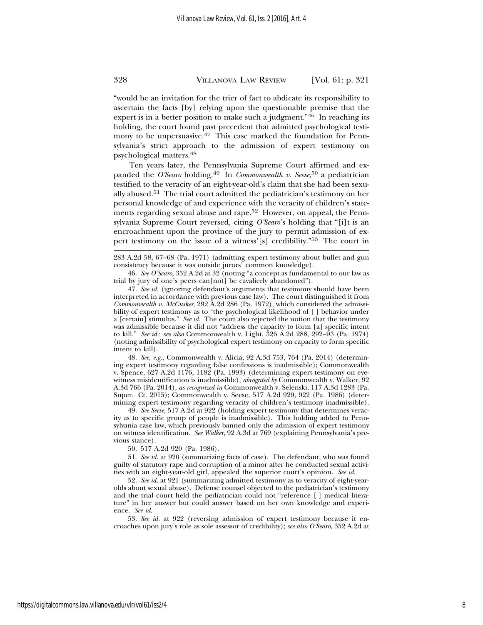"would be an invitation for the trier of fact to abdicate its responsibility to ascertain the facts [by] relying upon the questionable premise that the expert is in a better position to make such a judgment."<sup>46</sup> In reaching its holding, the court found past precedent that admitted psychological testimony to be unpersuasive.<sup>47</sup> This case marked the foundation for Pennsylvania's strict approach to the admission of expert testimony on psychological matters.<sup>48</sup>

Ten years later, the Pennsylvania Supreme Court affirmed and expanded the *O'Searo* holding.49 In *Commonwealth v. Seese*, 50 a pediatrician testified to the veracity of an eight-year-old's claim that she had been sexually abused.51 The trial court admitted the pediatrician's testimony on her personal knowledge of and experience with the veracity of children's statements regarding sexual abuse and rape.52 However, on appeal, the Pennsylvania Supreme Court reversed, citing *O'Searo*'s holding that "[i]t is an encroachment upon the province of the jury to permit admission of expert testimony on the issue of a witness'[s] credibility."53 The court in

46. *See O'Searo*, 352 A.2d at 32 (noting "a concept as fundamental to our law as trial by jury of one's peers can[not] be cavalierly abandoned").

47. *See id.* (ignoring defendant's arguments that testimony should have been interpreted in accordance with previous case law). The court distinguished it from *Commonwealth v. McCusker*, 292 A.2d 286 (Pa. 1972), which considered the admissibility of expert testimony as to "the psychological likelihood of [ ] behavior under a [certain] stimulus." *See id.* The court also rejected the notion that the testimony was admissible because it did not "address the capacity to form [a] specific intent to kill." *See id.*; *see also* Commonwealth v. Light, 326 A.2d 288, 292–93 (Pa. 1974) (noting admissibility of psychological expert testimony on capacity to form specific intent to kill).

48. *See, e.g.*, Commonwealth v. Alicia, 92 A.3d 753, 764 (Pa. 2014) (determining expert testimony regarding false confessions is inadmissible); Commonwealth v. Spence, 627 A.2d 1176, 1182 (Pa. 1993) (determining expert testimony on eyewitness misidentification is inadmissible), *abrogated by* Commonwealth v. Walker, 92 A.3d 766 (Pa. 2014), *as recognized in* Commonwealth v. Selenski, 117 A.3d 1283 (Pa. Super. Ct. 2015); Commonwealth v. Seese, 517 A.2d 920, 922 (Pa. 1986) (determining expert testimony regarding veracity of children's testimony inadmissible).

49. *See Seese*, 517 A.2d at 922 (holding expert testimony that determines veracity as to specific group of people is inadmissible). This holding added to Pennsylvania case law, which previously banned only the admission of expert testimony on witness identification. *See Walker*, 92 A.3d at 769 (explaining Pennsylvania's previous stance).

50. 517 A.2d 920 (Pa. 1986).

51. *See id.* at 920 (summarizing facts of case). The defendant, who was found guilty of statutory rape and corruption of a minor after he conducted sexual activities with an eight-year-old girl, appealed the superior court's opinion. *See id*.

52. *See id.* at 921 (summarizing admitted testimony as to veracity of eight-yearolds about sexual abuse). Defense counsel objected to the pediatrician's testimony and the trial court held the pediatrician could not "reference [ ] medical literature" in her answer but could answer based on her own knowledge and experience. *See id*.

53. *See id.* at 922 (reversing admission of expert testimony because it encroaches upon jury's role as sole assessor of credibility); *see also O'Searo*, 352 A.2d at

<sup>283</sup> A.2d 58, 67–68 (Pa. 1971) (admitting expert testimony about bullet and gun consistency because it was outside jurors' common knowledge).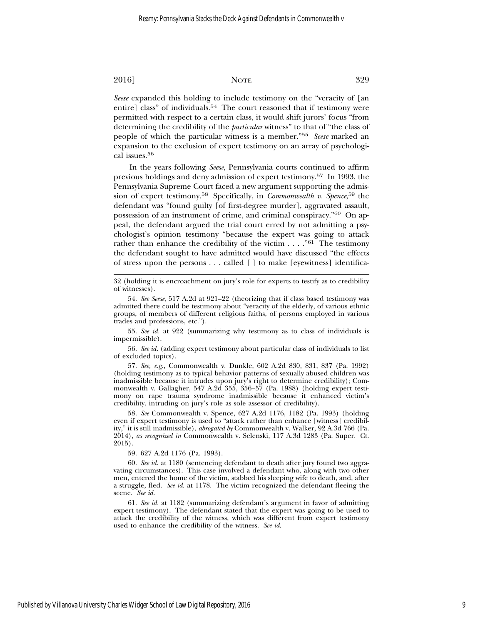*Seese* expanded this holding to include testimony on the "veracity of [an entire] class" of individuals.<sup>54</sup> The court reasoned that if testimony were permitted with respect to a certain class, it would shift jurors' focus "from determining the credibility of the *particular* witness" to that of "the class of people of which the particular witness is a member."<sup>55</sup> *Seese* marked an expansion to the exclusion of expert testimony on an array of psychological issues.<sup>56</sup>

In the years following *Seese*, Pennsylvania courts continued to affirm previous holdings and deny admission of expert testimony.57 In 1993, the Pennsylvania Supreme Court faced a new argument supporting the admission of expert testimony.58 Specifically, in *Commonwealth v. Spence*, 59 the defendant was "found guilty [of first-degree murder], aggravated assault, possession of an instrument of crime, and criminal conspiracy."60 On appeal, the defendant argued the trial court erred by not admitting a psychologist's opinion testimony "because the expert was going to attack rather than enhance the credibility of the victim  $\dots$ ."<sup>61</sup> The testimony the defendant sought to have admitted would have discussed "the effects of stress upon the persons . . . called [ ] to make [eyewitness] identifica-

55. *See id.* at 922 (summarizing why testimony as to class of individuals is impermissible).

56. *See id.* (adding expert testimony about particular class of individuals to list of excluded topics).

57. *See, e.g.*, Commonwealth v. Dunkle, 602 A.2d 830, 831, 837 (Pa. 1992) (holding testimony as to typical behavior patterns of sexually abused children was inadmissible because it intrudes upon jury's right to determine credibility); Commonwealth v. Gallagher, 547 A.2d 355, 356–57 (Pa. 1988) (holding expert testimony on rape trauma syndrome inadmissible because it enhanced victim's credibility, intruding on jury's role as sole assessor of credibility).

58. *See* Commonwealth v. Spence, 627 A.2d 1176, 1182 (Pa. 1993) (holding even if expert testimony is used to "attack rather than enhance [witness] credibility," it is still inadmissible), *abrogated by* Commonwealth v. Walker, 92 A.3d 766 (Pa. 2014), *as recognized in* Commonwealth v. Selenski, 117 A.3d 1283 (Pa. Super. Ct. 2015).

59. 627 A.2d 1176 (Pa. 1993).

60. *See id.* at 1180 (sentencing defendant to death after jury found two aggravating circumstances). This case involved a defendant who, along with two other men, entered the home of the victim, stabbed his sleeping wife to death, and, after a struggle, fled. *See id.* at 1178. The victim recognized the defendant fleeing the scene. *See id.*

61. *See id.* at 1182 (summarizing defendant's argument in favor of admitting expert testimony). The defendant stated that the expert was going to be used to attack the credibility of the witness, which was different from expert testimony used to enhance the credibility of the witness. *See id.*

<sup>32 (</sup>holding it is encroachment on jury's role for experts to testify as to credibility of witnesses).

<sup>54.</sup> *See Seese*, 517 A.2d at 921–22 (theorizing that if class based testimony was admitted there could be testimony about "veracity of the elderly, of various ethnic groups, of members of different religious faiths, of persons employed in various trades and professions, etc.").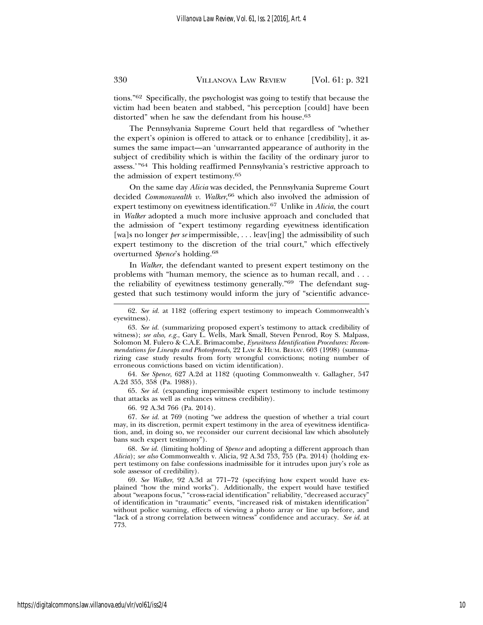tions."62 Specifically, the psychologist was going to testify that because the victim had been beaten and stabbed, "his perception [could] have been distorted" when he saw the defendant from his house.<sup>63</sup>

The Pennsylvania Supreme Court held that regardless of "whether the expert's opinion is offered to attack or to enhance [credibility], it assumes the same impact—an 'unwarranted appearance of authority in the subject of credibility which is within the facility of the ordinary juror to assess.'"64 This holding reaffirmed Pennsylvania's restrictive approach to the admission of expert testimony.<sup>65</sup>

On the same day *Alicia* was decided, the Pennsylvania Supreme Court decided *Commonwealth v. Walker*, 66 which also involved the admission of expert testimony on eyewitness identification.67 Unlike in *Alicia*, the court in *Walker* adopted a much more inclusive approach and concluded that the admission of "expert testimony regarding eyewitness identification [wa]s no longer *per se* impermissible, . . . leav[ing] the admissibility of such expert testimony to the discretion of the trial court," which effectively overturned *Spence*'s holding.68

In *Walker*, the defendant wanted to present expert testimony on the problems with "human memory, the science as to human recall, and . . . the reliability of eyewitness testimony generally."69 The defendant suggested that such testimony would inform the jury of "scientific advance-

64. *See Spence*, 627 A.2d at 1182 (quoting Commonwealth v. Gallagher, 547 A.2d 355, 358 (Pa. 1988)).

65. *See id.* (expanding impermissible expert testimony to include testimony that attacks as well as enhances witness credibility).

66. 92 A.3d 766 (Pa. 2014).

67. *See id.* at 769 (noting "we address the question of whether a trial court may, in its discretion, permit expert testimony in the area of eyewitness identification, and, in doing so, we reconsider our current decisional law which absolutely bans such expert testimony").

68. *See id.* (limiting holding of *Spence* and adopting a different approach than *Alicia*); *see also* Commonwealth v. Alicia, 92 A.3d 753, 755 (Pa. 2014) (holding expert testimony on false confessions inadmissible for it intrudes upon jury's role as sole assessor of credibility).

69. *See Walker*, 92 A.3d at 771–72 (specifying how expert would have explained "how the mind works"). Additionally, the expert would have testified about "weapons focus," "cross-racial identification" reliability, "decreased accuracy" of identification in "traumatic" events, "increased risk of mistaken identification" without police warning, effects of viewing a photo array or line up before, and "lack of a strong correlation between witness" confidence and accuracy. *See id*. at 773.

https://digitalcommons.law.villanova.edu/vlr/vol61/iss2/4

<sup>62.</sup> *See id.* at 1182 (offering expert testimony to impeach Commonwealth's eyewitness).

<sup>63.</sup> *See id.* (summarizing proposed expert's testimony to attack credibility of witness); *see also, e.g.*, Gary L. Wells, Mark Small, Steven Penrod, Roy S. Malpass, Solomon M. Fulero & C.A.E. Brimacombe, *Eyewitness Identification Procedures: Recommendations for Lineups and Photospreads*, 22 LAW & HUM. BEHAV. 603 (1998) (summarizing case study results from forty wrongful convictions; noting number of erroneous convictions based on victim identification).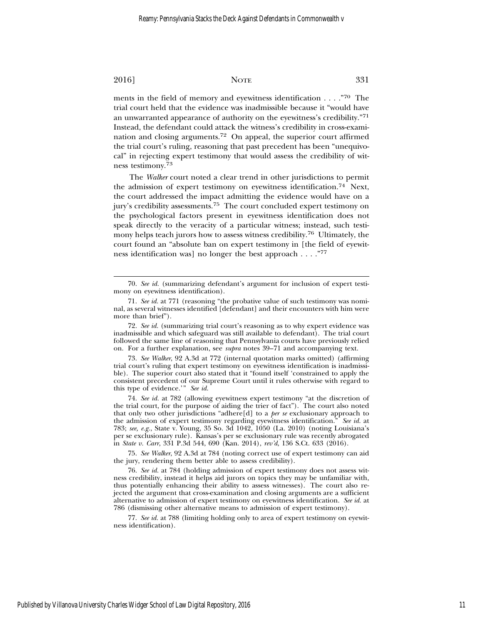ments in the field of memory and eyewitness identification . . . ."70 The trial court held that the evidence was inadmissible because it "would have an unwarranted appearance of authority on the eyewitness's credibility."<sup>71</sup> Instead, the defendant could attack the witness's credibility in cross-examination and closing arguments.72 On appeal, the superior court affirmed the trial court's ruling, reasoning that past precedent has been "unequivocal" in rejecting expert testimony that would assess the credibility of witness testimony.<sup>73</sup>

The *Walker* court noted a clear trend in other jurisdictions to permit the admission of expert testimony on eyewitness identification.74 Next, the court addressed the impact admitting the evidence would have on a jury's credibility assessments.75 The court concluded expert testimony on the psychological factors present in eyewitness identification does not speak directly to the veracity of a particular witness; instead, such testimony helps teach jurors how to assess witness credibility.76 Ultimately, the court found an "absolute ban on expert testimony in [the field of eyewitness identification was] no longer the best approach . . . ."<sup>77</sup>

73. *See Walker*, 92 A.3d at 772 (internal quotation marks omitted) (affirming trial court's ruling that expert testimony on eyewitness identification is inadmissible). The superior court also stated that it "found itself 'constrained to apply the consistent precedent of our Supreme Court until it rules otherwise with regard to this type of evidence.'" *See id.*

74. *See id.* at 782 (allowing eyewitness expert testimony "at the discretion of the trial court, for the purpose of aiding the trier of fact"). The court also noted that only two other jurisdictions "adhere[d] to a *per se* exclusionary approach to the admission of expert testimony regarding eyewitness identification." *See id.* at 783; *see, e.g.*, State v. Young, 35 So. 3d 1042, 1050 (La. 2010) (noting Louisiana's per se exclusionary rule). Kansas's per se exclusionary rule was recently abrogated in *State v. Carr*, 331 P.3d 544, 690 (Kan. 2014), *rev'd*, 136 S.Ct. 633 (2016).

75. *See Walker*, 92 A.3d at 784 (noting correct use of expert testimony can aid the jury, rendering them better able to assess credibility).

76. *See id.* at 784 (holding admission of expert testimony does not assess witness credibility, instead it helps aid jurors on topics they may be unfamiliar with, thus potentially enhancing their ability to assess witnesses). The court also rejected the argument that cross-examination and closing arguments are a sufficient alternative to admission of expert testimony on eyewitness identification. *See id.* at 786 (dismissing other alternative means to admission of expert testimony).

77. *See id.* at 788 (limiting holding only to area of expert testimony on eyewitness identification).

<sup>70.</sup> *See id.* (summarizing defendant's argument for inclusion of expert testimony on eyewitness identification).

<sup>71.</sup> *See id.* at 771 (reasoning "the probative value of such testimony was nominal, as several witnesses identified [defendant] and their encounters with him were more than brief").

<sup>72.</sup> *See id.* (summarizing trial court's reasoning as to why expert evidence was inadmissible and which safeguard was still available to defendant). The trial court followed the same line of reasoning that Pennsylvania courts have previously relied on. For a further explanation, see *supra* notes 39–71 and accompanying text.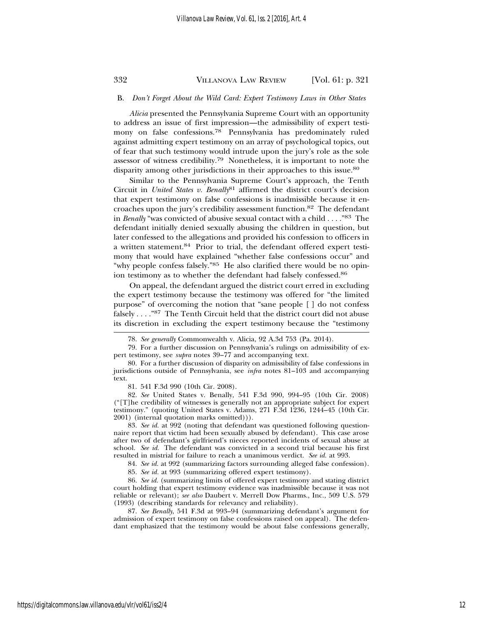#### B. *Don't Forget About the Wild Card: Expert Testimony Laws in Other States*

*Alicia* presented the Pennsylvania Supreme Court with an opportunity to address an issue of first impression—the admissibility of expert testimony on false confessions.78 Pennsylvania has predominately ruled against admitting expert testimony on an array of psychological topics, out of fear that such testimony would intrude upon the jury's role as the sole assessor of witness credibility.79 Nonetheless, it is important to note the disparity among other jurisdictions in their approaches to this issue.<sup>80</sup>

Similar to the Pennsylvania Supreme Court's approach, the Tenth Circuit in *United States v. Benally*81 affirmed the district court's decision that expert testimony on false confessions is inadmissible because it encroaches upon the jury's credibility assessment function.82 The defendant in *Benally* "was convicted of abusive sexual contact with a child . . . ."83 The defendant initially denied sexually abusing the children in question, but later confessed to the allegations and provided his confession to officers in a written statement.84 Prior to trial, the defendant offered expert testimony that would have explained "whether false confessions occur" and "why people confess falsely."<sup>85</sup> He also clarified there would be no opinion testimony as to whether the defendant had falsely confessed.<sup>86</sup>

On appeal, the defendant argued the district court erred in excluding the expert testimony because the testimony was offered for "the limited purpose" of overcoming the notion that "sane people [ ] do not confess falsely . . . ."87 The Tenth Circuit held that the district court did not abuse its discretion in excluding the expert testimony because the "testimony

83. *See id.* at 992 (noting that defendant was questioned following questionnaire report that victim had been sexually abused by defendant). This case arose after two of defendant's girlfriend's nieces reported incidents of sexual abuse at school. *See id.* The defendant was convicted in a second trial because his first resulted in mistrial for failure to reach a unanimous verdict. *See id.* at 993.

84. *See id.* at 992 (summarizing factors surrounding alleged false confession).

85. *See id.* at 993 (summarizing offered expert testimony).

86. *See id.* (summarizing limits of offered expert testimony and stating district court holding that expert testimony evidence was inadmissible because it was not reliable or relevant); *see also* Daubert v. Merrell Dow Pharms., Inc., 509 U.S. 579 (1993) (describing standards for relevancy and reliability).

87. *See Benally*, 541 F.3d at 993–94 (summarizing defendant's argument for admission of expert testimony on false confessions raised on appeal). The defendant emphasized that the testimony would be about false confessions generally,

https://digitalcommons.law.villanova.edu/vlr/vol61/iss2/4

<sup>78.</sup> *See generally* Commonwealth v. Alicia, 92 A.3d 753 (Pa. 2014).

<sup>79.</sup> For a further discussion on Pennsylvania's rulings on admissibility of expert testimony, see *supra* notes 39–77 and accompanying text.

<sup>80.</sup> For a further discussion of disparity on admissibility of false confessions in jurisdictions outside of Pennsylvania, see *infra* notes 81–103 and accompanying text.

<sup>81. 541</sup> F.3d 990 (10th Cir. 2008).

<sup>82.</sup> *See* United States v. Benally, 541 F.3d 990, 994–95 (10th Cir. 2008) ("[T]he credibility of witnesses is generally not an appropriate subject for expert testimony." (quoting United States v. Adams, 271 F.3d 1236, 1244–45 (10th Cir. 2001) (internal quotation marks omitted))).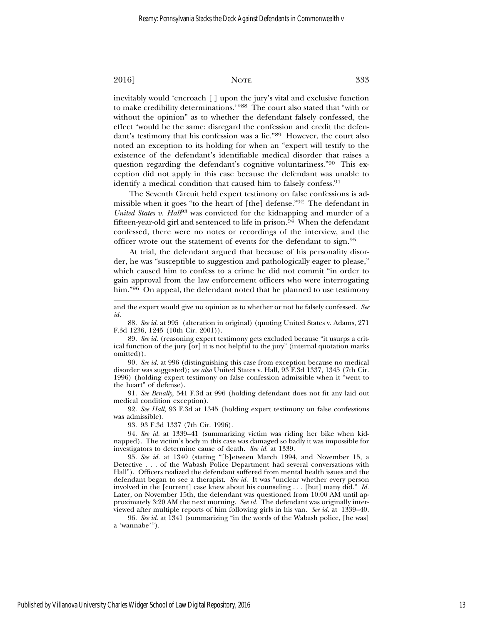inevitably would 'encroach [ ] upon the jury's vital and exclusive function to make credibility determinations.'"88 The court also stated that "with or without the opinion" as to whether the defendant falsely confessed, the effect "would be the same: disregard the confession and credit the defendant's testimony that his confession was a lie."89 However, the court also noted an exception to its holding for when an "expert will testify to the existence of the defendant's identifiable medical disorder that raises a question regarding the defendant's cognitive voluntariness."90 This exception did not apply in this case because the defendant was unable to identify a medical condition that caused him to falsely confess.<sup>91</sup>

The Seventh Circuit held expert testimony on false confessions is admissible when it goes "to the heart of [the] defense."92 The defendant in *United States v. Hall*<sup>93</sup> was convicted for the kidnapping and murder of a fifteen-year-old girl and sentenced to life in prison.94 When the defendant confessed, there were no notes or recordings of the interview, and the officer wrote out the statement of events for the defendant to sign.<sup>95</sup>

At trial, the defendant argued that because of his personality disorder, he was "susceptible to suggestion and pathologically eager to please," which caused him to confess to a crime he did not commit "in order to gain approval from the law enforcement officers who were interrogating him."<sup>96</sup> On appeal, the defendant noted that he planned to use testimony

90. *See id.* at 996 (distinguishing this case from exception because no medical disorder was suggested); *see also* United States v. Hall, 93 F.3d 1337, 1345 (7th Cir. 1996) (holding expert testimony on false confession admissible when it "went to the heart" of defense).

91. *See Benally*, 541 F.3d at 996 (holding defendant does not fit any laid out medical condition exception).

92. *See Hall*, 93 F.3d at 1345 (holding expert testimony on false confessions was admissible).

93. 93 F.3d 1337 (7th Cir. 1996).

94. *See id.* at 1339–41 (summarizing victim was riding her bike when kidnapped). The victim's body in this case was damaged so badly it was impossible for investigators to determine cause of death. *See id.* at 1339.

95. *See id.* at 1340 (stating "[b]etween March 1994, and November 15, a Detective . . . of the Wabash Police Department had several conversations with Hall"). Officers realized the defendant suffered from mental health issues and the defendant began to see a therapist. *See id.* It was "unclear whether every person involved in the [current] case knew about his counseling . . . [but] many did." *Id.* Later, on November 15th, the defendant was questioned from 10:00 AM until approximately 3:20 AM the next morning. *See id.* The defendant was originally interviewed after multiple reports of him following girls in his van. *See id.* at 1339–40.

96. *See id.* at 1341 (summarizing "in the words of the Wabash police, [he was] a 'wannabe'").

and the expert would give no opinion as to whether or not he falsely confessed. *See id.*

<sup>88.</sup> *See id.* at 995 (alteration in original) (quoting United States v. Adams, 271 F.3d 1236, 1245 (10th Cir. 2001)).

<sup>89.</sup> *See id.* (reasoning expert testimony gets excluded because "it usurps a critical function of the jury [or] it is not helpful to the jury" (internal quotation marks omitted)).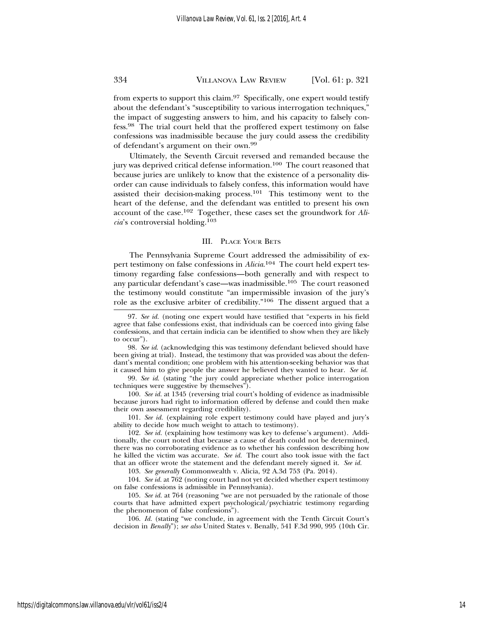from experts to support this claim.97 Specifically, one expert would testify about the defendant's "susceptibility to various interrogation techniques," the impact of suggesting answers to him, and his capacity to falsely confess.98 The trial court held that the proffered expert testimony on false confessions was inadmissible because the jury could assess the credibility of defendant's argument on their own.<sup>99</sup>

Ultimately, the Seventh Circuit reversed and remanded because the jury was deprived critical defense information.<sup>100</sup> The court reasoned that because juries are unlikely to know that the existence of a personality disorder can cause individuals to falsely confess, this information would have assisted their decision-making process.<sup>101</sup> This testimony went to the heart of the defense, and the defendant was entitled to present his own account of the case.102 Together, these cases set the groundwork for *Alicia*'s controversial holding.<sup>103</sup>

#### III. PLACE YOUR BETS

The Pennsylvania Supreme Court addressed the admissibility of expert testimony on false confessions in *Alicia*. 104 The court held expert testimony regarding false confessions—both generally and with respect to any particular defendant's case—was inadmissible.105 The court reasoned the testimony would constitute "an impermissible invasion of the jury's role as the exclusive arbiter of credibility."106 The dissent argued that a

100. *See id.* at 1345 (reversing trial court's holding of evidence as inadmissible because jurors had right to information offered by defense and could then make their own assessment regarding credibility).

101. *See id.* (explaining role expert testimony could have played and jury's ability to decide how much weight to attach to testimony).

102. *See id.* (explaining how testimony was key to defense's argument). Additionally, the court noted that because a cause of death could not be determined, there was no corroborating evidence as to whether his confession describing how he killed the victim was accurate. *See id.* The court also took issue with the fact that an officer wrote the statement and the defendant merely signed it. *See id.*

103. *See generally* Commonwealth v. Alicia, 92 A.3d 753 (Pa. 2014).

104. *See id.* at 762 (noting court had not yet decided whether expert testimony on false confessions is admissible in Pennsylvania).

105. *See id.* at 764 (reasoning "we are not persuaded by the rationale of those courts that have admitted expert psychological/psychiatric testimony regarding the phenomenon of false confessions").

106. *Id.* (stating "we conclude, in agreement with the Tenth Circuit Court's decision in *Benally*"); *see also* United States v. Benally, 541 F.3d 990, 995 (10th Cir.

<sup>97.</sup> *See id.* (noting one expert would have testified that "experts in his field agree that false confessions exist, that individuals can be coerced into giving false confessions, and that certain indicia can be identified to show when they are likely to occur").

<sup>98.</sup> *See id*. (acknowledging this was testimony defendant believed should have been giving at trial). Instead, the testimony that was provided was about the defendant's mental condition; one problem with his attention-seeking behavior was that it caused him to give people the answer he believed they wanted to hear. *See id.*

<sup>99.</sup> *See id*. (stating "the jury could appreciate whether police interrogation techniques were suggestive by themselves").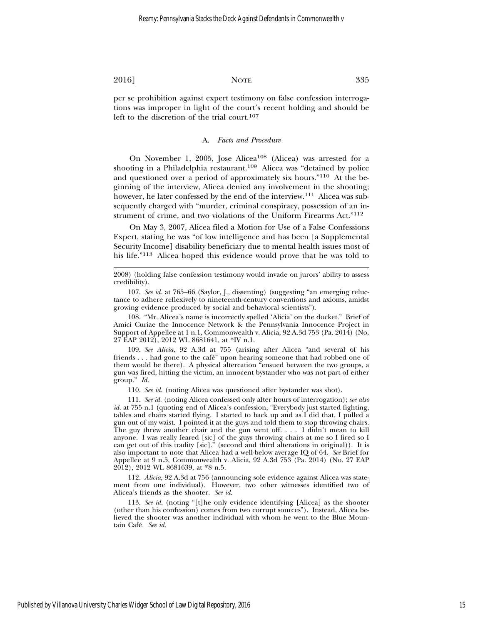per se prohibition against expert testimony on false confession interrogations was improper in light of the court's recent holding and should be left to the discretion of the trial court.<sup>107</sup>

#### A. *Facts and Procedure*

On November 1, 2005, Jose Alicea<sup>108</sup> (Alicea) was arrested for a shooting in a Philadelphia restaurant.<sup>109</sup> Alicea was "detained by police and questioned over a period of approximately six hours."110 At the beginning of the interview, Alicea denied any involvement in the shooting; however, he later confessed by the end of the interview.<sup>111</sup> Alicea was subsequently charged with "murder, criminal conspiracy, possession of an instrument of crime, and two violations of the Uniform Firearms Act."<sup>112</sup>

On May 3, 2007, Alicea filed a Motion for Use of a False Confessions Expert, stating he was "of low intelligence and has been [a Supplemental Security Income] disability beneficiary due to mental health issues most of his life."113 Alicea hoped this evidence would prove that he was told to

2008) (holding false confession testimony would invade on jurors' ability to assess credibility).

107. *See id.* at 765–66 (Saylor, J., dissenting) (suggesting "an emerging reluctance to adhere reflexively to nineteenth-century conventions and axioms, amidst growing evidence produced by social and behavioral scientists").

108. "Mr. Alicea's name is incorrectly spelled 'Alicia' on the docket." Brief of Amici Curiae the Innocence Network & the Pennsylvania Innocence Project in Support of Appellee at 1 n.1, Commonwealth v. Alicia, 92 A.3d 753 (Pa. 2014) (No. 27 EAP 2012), 2012 WL 8681641, at \*IV n.1.

109. *See Alicia*, 92 A.3d at 755 (arising after Alicea "and several of his friends . . . had gone to the cafe" upon hearing someone that had robbed one of ´ them would be there). A physical altercation "ensued between the two groups, a gun was fired, hitting the victim, an innocent bystander who was not part of either group." *Id.*

110. *See id.* (noting Alicea was questioned after bystander was shot).

111. *See id.* (noting Alicea confessed only after hours of interrogation); *see also id.* at 755 n.1 (quoting end of Alicea's confession, "Everybody just started fighting, tables and chairs started flying. I started to back up and as I did that, I pulled a gun out of my waist. I pointed it at the guys and told them to stop throwing chairs. The guy threw another chair and the gun went off. . . . I didn't mean to kill anyone. I was really feared [sic] of the guys throwing chairs at me so I fired so I can get out of this tradity [sic]." (second and third alterations in original)). It is also important to note that Alicea had a well-below average IQ of 64. *See* Brief for Appellee at 9 n.5, Commonwealth v. Alicia, 92 A.3d 753 (Pa. 2014) (No. 27 EAP 2012), 2012 WL 8681639, at \*8 n.5.

112. *Alicia*, 92 A.3d at 756 (announcing sole evidence against Alicea was statement from one individual). However, two other witnesses identified two of Alicea's friends as the shooter. *See id.*

113. *See id.* (noting "[t]he only evidence identifying [Alicea] as the shooter (other than his confession) comes from two corrupt sources"). Instead, Alicea believed the shooter was another individual with whom he went to the Blue Mountain Cafe.´ *See id.*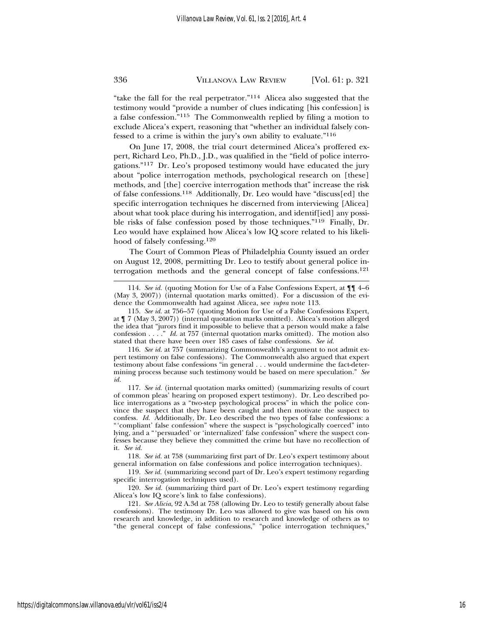"take the fall for the real perpetrator."114 Alicea also suggested that the testimony would "provide a number of clues indicating [his confession] is a false confession."115 The Commonwealth replied by filing a motion to exclude Alicea's expert, reasoning that "whether an individual falsely confessed to a crime is within the jury's own ability to evaluate."<sup>116</sup>

On June 17, 2008, the trial court determined Alicea's proffered expert, Richard Leo, Ph.D., J.D., was qualified in the "field of police interrogations."117 Dr. Leo's proposed testimony would have educated the jury about "police interrogation methods, psychological research on [these] methods, and [the] coercive interrogation methods that" increase the risk of false confessions.118 Additionally, Dr. Leo would have "discuss[ed] the specific interrogation techniques he discerned from interviewing [Alicea] about what took place during his interrogation, and identif[ied] any possible risks of false confession posed by those techniques."119 Finally, Dr. Leo would have explained how Alicea's low IQ score related to his likelihood of falsely confessing.<sup>120</sup>

The Court of Common Pleas of Philadelphia County issued an order on August 12, 2008, permitting Dr. Leo to testify about general police interrogation methods and the general concept of false confessions.<sup>121</sup>

116. *See id.* at 757 (summarizing Commonwealth's argument to not admit expert testimony on false confessions). The Commonwealth also argued that expert testimony about false confessions "in general . . . would undermine the fact-determining process because such testimony would be based on mere speculation." *See id.*

117. *See id.* (internal quotation marks omitted) (summarizing results of court of common pleas' hearing on proposed expert testimony). Dr. Leo described police interrogations as a "two-step psychological process" in which the police convince the suspect that they have been caught and then motivate the suspect to confess. *Id.* Additionally, Dr. Leo described the two types of false confessions: a "'compliant' false confession" where the suspect is "psychologically coerced" into lying, and a "'persuaded' or 'internalized' false confession" where the suspect confesses because they believe they committed the crime but have no recollection of it. *See id.*

118. *See id.* at 758 (summarizing first part of Dr. Leo's expert testimony about general information on false confessions and police interrogation techniques).

119. *See id.* (summarizing second part of Dr. Leo's expert testimony regarding specific interrogation techniques used).

120. *See id.* (summarizing third part of Dr. Leo's expert testimony regarding Alicea's low IQ score's link to false confessions).

121. *See Alicia*, 92 A.3d at 758 (allowing Dr. Leo to testify generally about false confessions). The testimony Dr. Leo was allowed to give was based on his own research and knowledge, in addition to research and knowledge of others as to "the general concept of false confessions," "police interrogation techniques,"

https://digitalcommons.law.villanova.edu/vlr/vol61/iss2/4

<sup>114.</sup> *See id.* (quoting Motion for Use of a False Confessions Expert, at ¶¶ 4–6 (May 3, 2007)) (internal quotation marks omitted). For a discussion of the evidence the Commonwealth had against Alicea, see *supra* note 113.

<sup>115.</sup> *See id.* at 756–57 (quoting Motion for Use of a False Confessions Expert, at ¶ 7 (May 3, 2007)) (internal quotation marks omitted). Alicea's motion alleged the idea that "jurors find it impossible to believe that a person would make a false confession . . . ." *Id.* at 757 (internal quotation marks omitted). The motion also stated that there have been over 185 cases of false confessions. *See id.*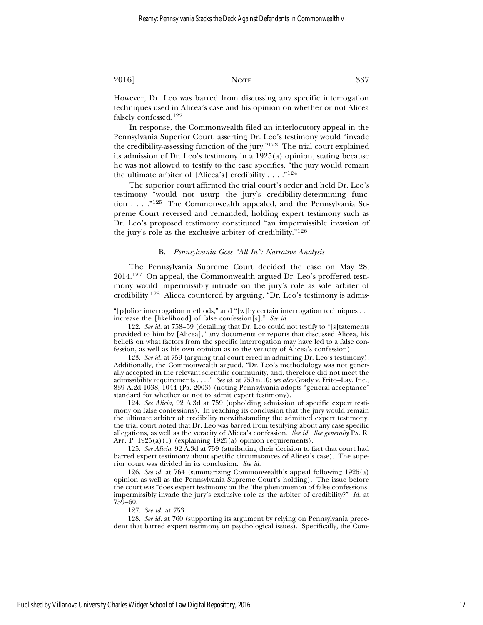However, Dr. Leo was barred from discussing any specific interrogation techniques used in Alicea's case and his opinion on whether or not Alicea falsely confessed.<sup>122</sup>

In response, the Commonwealth filed an interlocutory appeal in the Pennsylvania Superior Court, asserting Dr. Leo's testimony would "invade the credibility-assessing function of the jury."123 The trial court explained its admission of Dr. Leo's testimony in a 1925(a) opinion, stating because he was not allowed to testify to the case specifics, "the jury would remain the ultimate arbiter of [Alicea's] credibility  $\dots$ ."<sup>124</sup>

The superior court affirmed the trial court's order and held Dr. Leo's testimony "would not usurp the jury's credibility-determining function . . . ."125 The Commonwealth appealed, and the Pennsylvania Supreme Court reversed and remanded, holding expert testimony such as Dr. Leo's proposed testimony constituted "an impermissible invasion of the jury's role as the exclusive arbiter of credibility."<sup>126</sup>

#### B. *Pennsylvania Goes "All In": Narrative Analysis*

The Pennsylvania Supreme Court decided the case on May 28, 2014.127 On appeal, the Commonwealth argued Dr. Leo's proffered testimony would impermissibly intrude on the jury's role as sole arbiter of credibility.128 Alicea countered by arguing, "Dr. Leo's testimony is admis-

123. *See id.* at 759 (arguing trial court erred in admitting Dr. Leo's testimony). Additionally, the Commonwealth argued, "Dr. Leo's methodology was not generally accepted in the relevant scientific community, and, therefore did not meet the admissibility requirements . . . ." *See id.* at 759 n.10; *see also* Grady v. Frito–Lay, Inc., 839 A.2d 1038, 1044 (Pa. 2003) (noting Pennsylvania adopts "general acceptance" standard for whether or not to admit expert testimony).

124. *See Alicia*, 92 A.3d at 759 (upholding admission of specific expert testimony on false confessions). In reaching its conclusion that the jury would remain the ultimate arbiter of credibility notwithstanding the admitted expert testimony, the trial court noted that Dr. Leo was barred from testifying about any case specific allegations, as well as the veracity of Alicea's confession. *See id. See generally* PA. R. APP. P. 1925(a)(1) (explaining 1925(a) opinion requirements).

125. *See Alicia*, 92 A.3d at 759 (attributing their decision to fact that court had barred expert testimony about specific circumstances of Alicea's case). The superior court was divided in its conclusion. *See id.*

126. *See id.* at 764 (summarizing Commonwealth's appeal following 1925(a) opinion as well as the Pennsylvania Supreme Court's holding). The issue before the court was "does expert testimony on the 'the phenomenon of false confessions' impermissibly invade the jury's exclusive role as the arbiter of credibility?" *Id.* at 759–60.

127. *See id.* at 753.

128. *See id.* at 760 (supporting its argument by relying on Pennsylvania precedent that barred expert testimony on psychological issues). Specifically, the Com-

<sup>&</sup>quot;[p]olice interrogation methods," and "[w]hy certain interrogation techniques . . . increase the [likelihood] of false confession[s]." *See id.*

<sup>122.</sup> *See id.* at 758–59 (detailing that Dr. Leo could not testify to "[s]tatements provided to him by [Alicea]," any documents or reports that discussed Alicea, his beliefs on what factors from the specific interrogation may have led to a false confession, as well as his own opinion as to the veracity of Alicea's confession).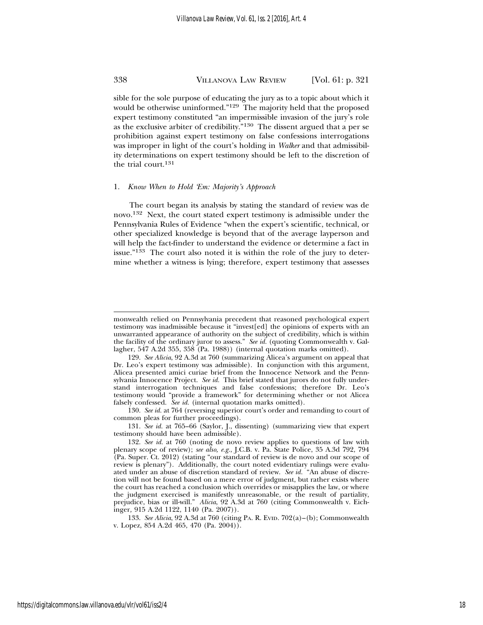sible for the sole purpose of educating the jury as to a topic about which it would be otherwise uninformed."129 The majority held that the proposed expert testimony constituted "an impermissible invasion of the jury's role as the exclusive arbiter of credibility."130 The dissent argued that a per se prohibition against expert testimony on false confessions interrogations was improper in light of the court's holding in *Walker* and that admissibility determinations on expert testimony should be left to the discretion of the trial court.<sup>131</sup>

#### 1. *Know When to Hold 'Em: Majority's Approach*

The court began its analysis by stating the standard of review was de novo.132 Next, the court stated expert testimony is admissible under the Pennsylvania Rules of Evidence "when the expert's scientific, technical, or other specialized knowledge is beyond that of the average layperson and will help the fact-finder to understand the evidence or determine a fact in issue."<sup>133</sup> The court also noted it is within the role of the jury to determine whether a witness is lying; therefore, expert testimony that assesses

130. *See id.* at 764 (reversing superior court's order and remanding to court of common pleas for further proceedings).

131. *See id.* at 765–66 (Saylor, J., dissenting) (summarizing view that expert testimony should have been admissible).

monwealth relied on Pennsylvania precedent that reasoned psychological expert testimony was inadmissible because it "invest[ed] the opinions of experts with an unwarranted appearance of authority on the subject of credibility, which is within the facility of the ordinary juror to assess." *See id.* (quoting Commonwealth v. Gallagher, 547 A.2d 355, 358 (Pa. 1988)) (internal quotation marks omitted).

<sup>129.</sup> *See Alicia*, 92 A.3d at 760 (summarizing Alicea's argument on appeal that Dr. Leo's expert testimony was admissible). In conjunction with this argument, Alicea presented amici curiae brief from the Innocence Network and the Pennsylvania Innocence Project. *See id.* This brief stated that jurors do not fully understand interrogation techniques and false confessions; therefore Dr. Leo's testimony would "provide a framework" for determining whether or not Alicea falsely confessed. *See id.* (internal quotation marks omitted).

<sup>132.</sup> *See id.* at 760 (noting de novo review applies to questions of law with plenary scope of review); *see also, e.g.*, J.C.B. v. Pa. State Police, 35 A.3d 792, 794 (Pa. Super. Ct. 2012) (stating "our standard of review is de novo and our scope of review is plenary"). Additionally, the court noted evidentiary rulings were evaluated under an abuse of discretion standard of review. *See id.* "An abuse of discretion will not be found based on a mere error of judgment, but rather exists where the court has reached a conclusion which overrides or misapplies the law, or where the judgment exercised is manifestly unreasonable, or the result of partiality, prejudice, bias or ill-will." *Alicia*, 92 A.3d at 760 (citing Commonwealth v. Eichinger*,* 915 A.2d 1122, 1140 (Pa. 2007)).

<sup>133.</sup> *See Alicia*, 92 A.3d at 760 (citing PA. R. EVID. 702(a)–(b); Commonwealth v. Lopez, 854 A.2d 465, 470 (Pa. 2004)).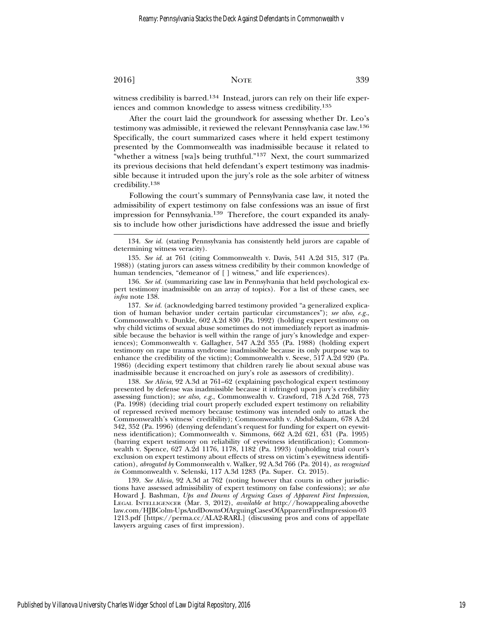witness credibility is barred.<sup>134</sup> Instead, jurors can rely on their life experiences and common knowledge to assess witness credibility.<sup>135</sup>

After the court laid the groundwork for assessing whether Dr. Leo's testimony was admissible, it reviewed the relevant Pennsylvania case law.<sup>136</sup> Specifically, the court summarized cases where it held expert testimony presented by the Commonwealth was inadmissible because it related to "whether a witness [wa]s being truthful."<sup>137</sup> Next, the court summarized its previous decisions that held defendant's expert testimony was inadmissible because it intruded upon the jury's role as the sole arbiter of witness credibility.<sup>138</sup>

Following the court's summary of Pennsylvania case law, it noted the admissibility of expert testimony on false confessions was an issue of first impression for Pennsylvania.139 Therefore, the court expanded its analysis to include how other jurisdictions have addressed the issue and briefly

137. *See id.* (acknowledging barred testimony provided "a generalized explication of human behavior under certain particular circumstances"); *see also, e.g.*, Commonwealth v. Dunkle, 602 A.2d 830 (Pa. 1992) (holding expert testimony on why child victims of sexual abuse sometimes do not immediately report as inadmissible because the behavior is well within the range of jury's knowledge and experiences); Commonwealth v. Gallagher, 547 A.2d 355 (Pa. 1988) (holding expert testimony on rape trauma syndrome inadmissible because its only purpose was to enhance the credibility of the victim); Commonwealth v. Seese, 517 A.2d 920 (Pa. 1986) (deciding expert testimony that children rarely lie about sexual abuse was inadmissible because it encroached on jury's role as assessors of credibility).

138. *See Alicia*, 92 A.3d at 761–62 (explaining psychological expert testimony presented by defense was inadmissible because it infringed upon jury's credibility assessing function); *see also, e.g.*, Commonwealth v. Crawford, 718 A.2d 768, 773 (Pa. 1998) (deciding trial court properly excluded expert testimony on reliability of repressed revived memory because testimony was intended only to attack the Commonwealth's witness' credibility); Commonwealth v. Abdul-Salaam, 678 A.2d 342, 352 (Pa. 1996) (denying defendant's request for funding for expert on eyewitness identification); Commonwealth v. Simmons, 662 A.2d 621, 631 (Pa. 1995) (barring expert testimony on reliability of eyewitness identification); Commonwealth v. Spence, 627 A.2d 1176, 1178, 1182 (Pa. 1993) (upholding trial court's exclusion on expert testimony about effects of stress on victim's eyewitness identification), *abrogated by* Commonwealth v. Walker, 92 A.3d 766 (Pa. 2014), *as recognized in* Commonwealth v. Selenski, 117 A.3d 1283 (Pa. Super. Ct. 2015).

139. *See Alicia*, 92 A.3d at 762 (noting however that courts in other jurisdictions have assessed admissibility of expert testimony on false confessions); *see also* Howard J. Bashman, *Ups and Downs of Arguing Cases of Apparent First Impression*, LEGAL INTELLIGENCER (Mar. 3, 2012), *available at* http://howappealing.abovethe law.com/HJBColm-UpsAndDownsOfArguingCasesOfApparentFirstImpression-03 1213.pdf [https://perma.cc/ALA2-RARL] (discussing pros and cons of appellate lawyers arguing cases of first impression).

<sup>134.</sup> *See id.* (stating Pennsylvania has consistently held jurors are capable of determining witness veracity).

<sup>135.</sup> *See id.* at 761 (citing Commonwealth v. Davis, 541 A.2d 315, 317 (Pa. 1988)) (stating jurors can assess witness credibility by their common knowledge of human tendencies, "demeanor of [ ] witness," and life experiences).

<sup>136.</sup> *See id.* (summarizing case law in Pennsylvania that held psychological expert testimony inadmissible on an array of topics). For a list of these cases, see *infra* note 138.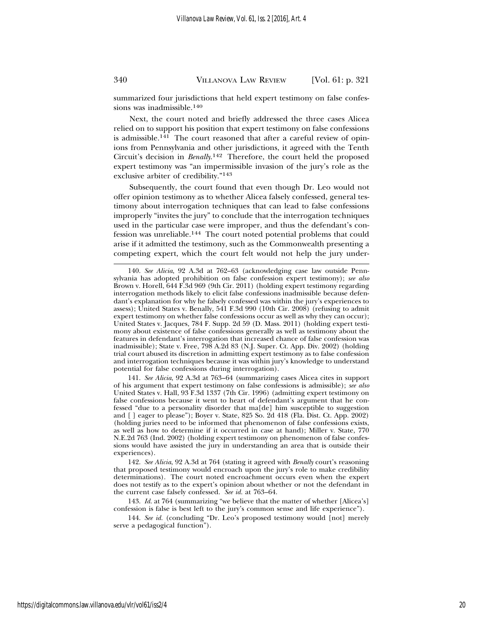summarized four jurisdictions that held expert testimony on false confessions was inadmissible.<sup>140</sup>

Next, the court noted and briefly addressed the three cases Alicea relied on to support his position that expert testimony on false confessions is admissible.141 The court reasoned that after a careful review of opinions from Pennsylvania and other jurisdictions, it agreed with the Tenth Circuit's decision in *Benally*. 142 Therefore, the court held the proposed expert testimony was "an impermissible invasion of the jury's role as the exclusive arbiter of credibility."<sup>143</sup>

Subsequently, the court found that even though Dr. Leo would not offer opinion testimony as to whether Alicea falsely confessed, general testimony about interrogation techniques that can lead to false confessions improperly "invites the jury" to conclude that the interrogation techniques used in the particular case were improper, and thus the defendant's confession was unreliable.144 The court noted potential problems that could arise if it admitted the testimony, such as the Commonwealth presenting a competing expert, which the court felt would not help the jury under-

141. *See Alicia*, 92 A.3d at 763–64 (summarizing cases Alicea cites in support of his argument that expert testimony on false confessions is admissible); *see also* United States v. Hall, 93 F.3d 1337 (7th Cir. 1996) (admitting expert testimony on false confessions because it went to heart of defendant's argument that he confessed "due to a personality disorder that ma[de] him susceptible to suggestion and [ ] eager to please"); Boyer v. State, 825 So. 2d 418 (Fla. Dist. Ct. App. 2002) (holding juries need to be informed that phenomenon of false confessions exists, as well as how to determine if it occurred in case at hand); Miller v. State, 770 N.E.2d 763 (Ind. 2002) (holding expert testimony on phenomenon of false confessions would have assisted the jury in understanding an area that is outside their experiences).

142. *See Alicia*, 92 A.3d at 764 (stating it agreed with *Benally* court's reasoning that proposed testimony would encroach upon the jury's role to make credibility determinations). The court noted encroachment occurs even when the expert does not testify as to the expert's opinion about whether or not the defendant in the current case falsely confessed. *See id.* at 763–64.

143. *Id.* at 764 (summarizing "we believe that the matter of whether [Alicea's] confession is false is best left to the jury's common sense and life experience").

144. *See id.* (concluding "Dr. Leo's proposed testimony would [not] merely serve a pedagogical function").

<sup>140.</sup> *See Alicia*, 92 A.3d at 762–63 (acknowledging case law outside Pennsylvania has adopted prohibition on false confession expert testimony); *see also* Brown v. Horell, 644 F.3d 969 (9th Cir. 2011) (holding expert testimony regarding interrogation methods likely to elicit false confessions inadmissible because defendant's explanation for why he falsely confessed was within the jury's experiences to assess); United States v. Benally, 541 F.3d 990 (10th Cir. 2008) (refusing to admit expert testimony on whether false confessions occur as well as why they can occur); United States v. Jacques, 784 F. Supp. 2d 59 (D. Mass. 2011) (holding expert testimony about existence of false confessions generally as well as testimony about the features in defendant's interrogation that increased chance of false confession was inadmissible); State v. Free, 798 A.2d 83 (N.J. Super. Ct. App. Div. 2002) (holding trial court abused its discretion in admitting expert testimony as to false confession and interrogation techniques because it was within jury's knowledge to understand potential for false confessions during interrogation).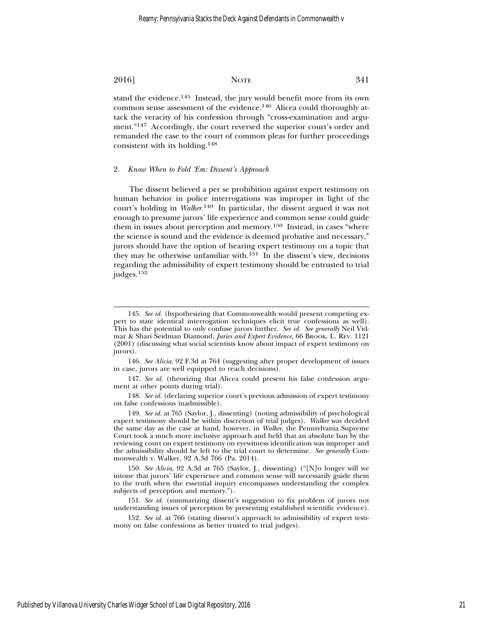stand the evidence.<sup>145</sup> Instead, the jury would benefit more from its own common sense assessment of the evidence.146 Alicea could thoroughly attack the veracity of his confession through "cross-examination and argument."147 Accordingly, the court reversed the superior court's order and remanded the case to the court of common pleas for further proceedings consistent with its holding.<sup>148</sup>

#### 2. *Know When to Fold 'Em: Dissent's Approach*

The dissent believed a per se prohibition against expert testimony on human behavior in police interrogations was improper in light of the court's holding in *Walker*. 149 In particular, the dissent argued it was not enough to presume jurors' life experience and common sense could guide them in issues about perception and memory.150 Instead, in cases "where the science is sound and the evidence is deemed probative and necessary," jurors should have the option of hearing expert testimony on a topic that they may be otherwise unfamiliar with. $151$  In the dissent's view, decisions regarding the admissibility of expert testimony should be entrusted to trial judges.<sup>152</sup>

150. *See Alicia*, 92 A.3d at 765 (Saylor, J., dissenting) ("[N]o longer will we intone that jurors' life experience and common sense will necessarily guide them to the truth when the essential inquiry encompasses understanding the complex subjects of perception and memory.").

151. *See id.* (summarizing dissent's suggestion to fix problem of jurors not understanding issues of perception by presenting established scientific evidence).

152. *See id.* at 766 (stating dissent's approach to admissibility of expert testimony on false confessions as better trusted to trial judges).

<sup>145.</sup> *See id.* (hypothesizing that Commonwealth would present competing expert to state identical interrogation techniques elicit true confessions as well). This has the potential to only confuse jurors further. *See id. See generally* Neil Vidmar & Shari Seidman Diamond, *Juries and Expert Evidence*, 66 BROOK. L. REV. 1121 (2001) (discussing what social scientists know about impact of expert testimony on jurors).

<sup>146.</sup> *See Alicia*, 92 F.3d at 764 (suggesting after proper development of issues in case, jurors are well equipped to reach decisions).

<sup>147.</sup> *See id.* (theorizing that Alicea could present his false confession argument at other points during trial).

<sup>148.</sup> *See id.* (declaring superior court's previous admission of expert testimony on false confessions inadmissible).

<sup>149.</sup> *See id.* at 765 (Saylor, J., dissenting) (noting admissibility of psychological expert testimony should be within discretion of trial judges). *Walker* was decided the same day as the case at hand, however, in *Walker*, the Pennsylvania Supreme Court took a much more inclusive approach and held that an absolute ban by the reviewing court on expert testimony on eyewitness identification was improper and the admissibility should be left to the trial court to determine. *See generally* Commonwealth v. Walker, 92 A.3d 766 (Pa. 2014).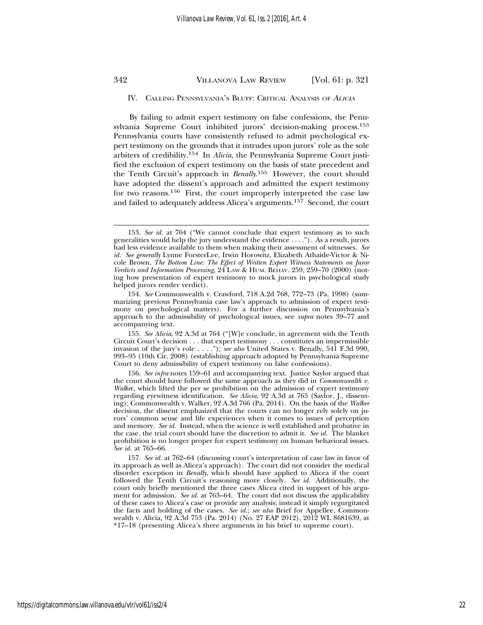#### IV. CALLING PENNSYLVANIA'S BLUFF: CRITICAL ANALYSIS OF <sup>A</sup>LICIA

By failing to admit expert testimony on false confessions, the Pennsylvania Supreme Court inhibited jurors' decision-making process.<sup>153</sup> Pennsylvania courts have consistently refused to admit psychological expert testimony on the grounds that it intrudes upon jurors' role as the sole arbiters of credibility.154 In *Alicia*, the Pennsylvania Supreme Court justified the exclusion of expert testimony on the basis of state precedent and the Tenth Circuit's approach in *Benally*. 155 However, the court should have adopted the dissent's approach and admitted the expert testimony for two reasons.156 First, the court improperly interpreted the case law and failed to adequately address Alicea's arguments.157 Second, the court

<sup>153.</sup> *See id.* at 764 ("We cannot conclude that expert testimony as to such generalities would help the jury understand the evidence  $\dots$ "). As a result, jurors had less evidence available to them when making their assessment of witnesses. *See id. See generally* Lynne ForsterLee, Irwin Horowitz, Elizabeth Athaide-Victor & Nicole Brown, *The Bottom Line: The Effect of Written Expert Witness Statements on Juror Verdicts and Information Processing*, 24 LAW & HUM. BEHAV. 259, 259–70 (2000) (noting how presentation of expert testimony to mock jurors in psychological study helped jurors render verdict).

<sup>154.</sup> *See* Commonwealth v. Crawford, 718 A.2d 768, 772–73 (Pa. 1998) (summarizing previous Pennsylvania case law's approach to admission of expert testimony on psychological matters). For a further discussion on Pennsylvania's approach to the admissibility of psychological issues, see *supra* notes 39–77 and accompanying text.

<sup>155.</sup> *See Alicia*, 92 A.3d at 764 ("[W]e conclude, in agreement with the Tenth Circuit Court's decision . . . that expert testimony . . . constitutes an impermissible invasion of the jury's role . . . ."); *see also* United States v. Benally, 541 F.3d 990, 993–95 (10th Cir. 2008) (establishing approach adopted by Pennsylvania Supreme Court to deny admissibility of expert testimony on false confessions).

<sup>156.</sup> *See infra* notes 159–61 and accompanying text. Justice Saylor argued that the court should have followed the same approach as they did in *Commonwealth v. Walke*r, which lifted the per se prohibition on the admission of expert testimony regarding eyewitness identification. *See Alicia*, 92 A.3d at 765 (Saylor, J., dissenting); Commonwealth v. Walker, 92 A.3d 766 (Pa. 2014). On the basis of the *Walker* decision, the dissent emphasized that the courts can no longer rely solely on jurors' common sense and life experiences when it comes to issues of perception and memory. *See id.* Instead, when the science is well established and probative in the case, the trial court should have the discretion to admit it. *See id.* The blanket prohibition is no longer proper for expert testimony on human behavioral issues. *See id.* at 765–66.

<sup>157.</sup> *See id.* at 762–64 (discussing court's interpretation of case law in favor of its approach as well as Alicea's approach). The court did not consider the medical disorder exception in *Benally*, which should have applied to Alicea if the court followed the Tenth Circuit's reasoning more closely. *See id.* Additionally, the court only briefly mentioned the three cases Alicea cited in support of his argument for admission. *See id.* at 763–64. The court did not discuss the applicability of these cases to Alicea's case or provide any analysis; instead it simply regurgitated the facts and holding of the cases. *See id.*; *see also* Brief for Appellee, Commonwealth v. Alicia, 92 A.3d 753 (Pa. 2014) (No. 27 EAP 2012), 2012 WL 8681639, at \*17–18 (presenting Alicea's three arguments in his brief to supreme court).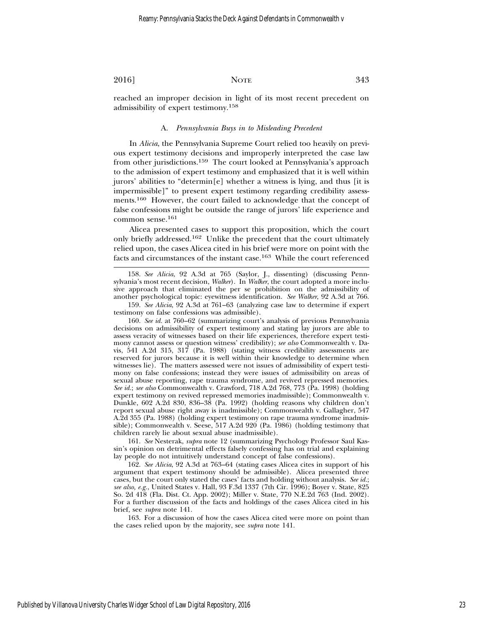reached an improper decision in light of its most recent precedent on admissibility of expert testimony.<sup>158</sup>

#### A. *Pennsylvania Buys in to Misleading Precedent*

In *Alicia*, the Pennsylvania Supreme Court relied too heavily on previous expert testimony decisions and improperly interpreted the case law from other jurisdictions.159 The court looked at Pennsylvania's approach to the admission of expert testimony and emphasized that it is well within jurors' abilities to "determin[e] whether a witness is lying, and thus [it is impermissible]" to present expert testimony regarding credibility assessments.160 However, the court failed to acknowledge that the concept of false confessions might be outside the range of jurors' life experience and common sense.<sup>161</sup>

Alicea presented cases to support this proposition, which the court only briefly addressed.162 Unlike the precedent that the court ultimately relied upon, the cases Alicea cited in his brief were more on point with the facts and circumstances of the instant case.163 While the court referenced

158. *See Alicia*, 92 A.3d at 765 (Saylor, J., dissenting) (discussing Pennsylvania's most recent decision, *Walker*). In *Walker*, the court adopted a more inclusive approach that eliminated the per se prohibition on the admissibility of another psychological topic: eyewitness identification. *See Walker*, 92 A.3d at 766.

159. *See Alicia*, 92 A.3d at 761–63 (analyzing case law to determine if expert testimony on false confessions was admissible).

160. *See id.* at 760–62 (summarizing court's analysis of previous Pennsylvania decisions on admissibility of expert testimony and stating lay jurors are able to assess veracity of witnesses based on their life experiences, therefore expert testimony cannot assess or question witness' credibility); *see also* Commonwealth v. Davis, 541 A.2d 315, 317 (Pa. 1988) (stating witness credibility assessments are reserved for jurors because it is well within their knowledge to determine when witnesses lie). The matters assessed were not issues of admissibility of expert testimony on false confessions; instead they were issues of admissibility on areas of sexual abuse reporting, rape trauma syndrome, and revived repressed memories. *See id.*; *see also* Commonwealth v. Crawford, 718 A.2d 768, 773 (Pa. 1998) (holding expert testimony on revived repressed memories inadmissible); Commonwealth v. Dunkle, 602 A.2d 830, 836–38 (Pa. 1992) (holding reasons why children don't report sexual abuse right away is inadmissible); Commonwealth v. Gallagher, 547 A.2d 355 (Pa. 1988) (holding expert testimony on rape trauma syndrome inadmissible); Commonwealth v. Seese, 517 A.2d 920 (Pa. 1986) (holding testimony that children rarely lie about sexual abuse inadmissible).

161. *See* Nesterak, *supra* note 12 (summarizing Psychology Professor Saul Kassin's opinion on detrimental effects falsely confessing has on trial and explaining lay people do not intuitively understand concept of false confessions).

162. *See Alicia*, 92 A.3d at 763–64 (stating cases Alicea cites in support of his argument that expert testimony should be admissible). Alicea presented three cases, but the court only stated the cases' facts and holding without analysis. *See id.*; *see also, e.g.*, United States v. Hall, 93 F.3d 1337 (7th Cir. 1996); Boyer v. State, 825 So. 2d 418 (Fla. Dist. Ct. App. 2002); Miller v. State, 770 N.E.2d 763 (Ind. 2002). For a further discussion of the facts and holdings of the cases Alicea cited in his brief, see *supra* note 141.

163. For a discussion of how the cases Alicea cited were more on point than the cases relied upon by the majority, see *supra* note 141.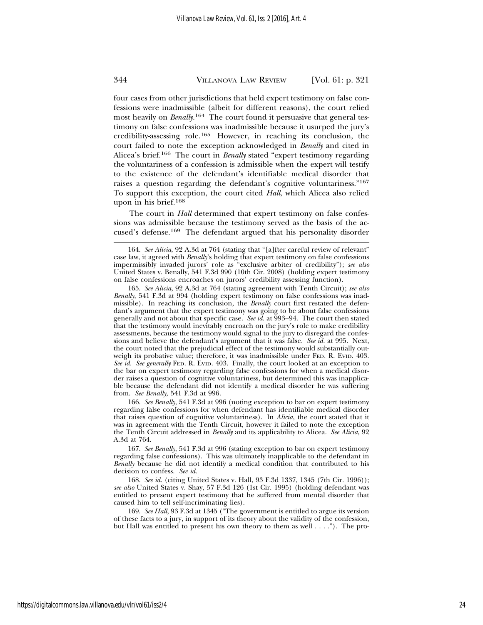four cases from other jurisdictions that held expert testimony on false confessions were inadmissible (albeit for different reasons), the court relied most heavily on *Benally*. 164 The court found it persuasive that general testimony on false confessions was inadmissible because it usurped the jury's credibility-assessing role.165 However, in reaching its conclusion, the court failed to note the exception acknowledged in *Benally* and cited in Alicea's brief.166 The court in *Benally* stated "expert testimony regarding the voluntariness of a confession is admissible when the expert will testify to the existence of the defendant's identifiable medical disorder that raises a question regarding the defendant's cognitive voluntariness."<sup>167</sup> To support this exception, the court cited *Hall*, which Alicea also relied upon in his brief.<sup>168</sup>

The court in *Hall* determined that expert testimony on false confessions was admissible because the testimony served as the basis of the accused's defense.169 The defendant argued that his personality disorder

166. *See Benally*, 541 F.3d at 996 (noting exception to bar on expert testimony regarding false confessions for when defendant has identifiable medical disorder that raises question of cognitive voluntariness). In *Alicia*, the court stated that it was in agreement with the Tenth Circuit, however it failed to note the exception the Tenth Circuit addressed in *Benally* and its applicability to Alicea. *See Alicia*, 92 A.3d at 764.

167. *See Benally*, 541 F.3d at 996 (stating exception to bar on expert testimony regarding false confessions). This was ultimately inapplicable to the defendant in *Benally* because he did not identify a medical condition that contributed to his decision to confess. *See id.*

168. *See id.* (citing United States v. Hall, 93 F.3d 1337, 1345 (7th Cir. 1996)); *see also* United States v. Shay, 57 F.3d 126 (1st Cir. 1995) (holding defendant was entitled to present expert testimony that he suffered from mental disorder that caused him to tell self-incriminating lies).

169. *See Hall*, 93 F.3d at 1345 ("The government is entitled to argue its version of these facts to a jury, in support of its theory about the validity of the confession, but Hall was entitled to present his own theory to them as well . . . ."). The pro-

<sup>164.</sup> *See Alicia*, 92 A.3d at 764 (stating that "[a]fter careful review of relevant" case law, it agreed with *Benally*'s holding that expert testimony on false confessions impermissibly invaded jurors' role as "exclusive arbiter of credibility"); *see also* United States v. Benally, 541 F.3d 990 (10th Cir. 2008) (holding expert testimony on false confessions encroaches on jurors' credibility assessing function).

<sup>165.</sup> *See Alicia*, 92 A.3d at 764 (stating agreement with Tenth Circuit); *see also Benally*, 541 F.3d at 994 (holding expert testimony on false confessions was inadmissible). In reaching its conclusion, the *Benally* court first restated the defendant's argument that the expert testimony was going to be about false confessions generally and not about that specific case. *See id.* at 993–94. The court then stated that the testimony would inevitably encroach on the jury's role to make credibility assessments, because the testimony would signal to the jury to disregard the confessions and believe the defendant's argument that it was false. *See id.* at 995. Next, the court noted that the prejudicial effect of the testimony would substantially outweigh its probative value; therefore, it was inadmissible under FED. R. EVID. 403. *See id. See generally* FED. R. EVID. 403. Finally, the court looked at an exception to the bar on expert testimony regarding false confessions for when a medical disorder raises a question of cognitive voluntariness, but determined this was inapplicable because the defendant did not identify a medical disorder he was suffering from. *See Benally*, 541 F.3d at 996.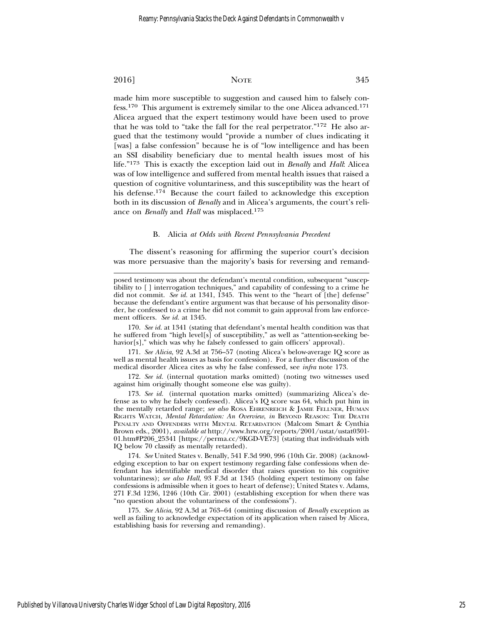made him more susceptible to suggestion and caused him to falsely confess.170 This argument is extremely similar to the one Alicea advanced.171 Alicea argued that the expert testimony would have been used to prove that he was told to "take the fall for the real perpetrator."172 He also argued that the testimony would "provide a number of clues indicating it [was] a false confession" because he is of "low intelligence and has been an SSI disability beneficiary due to mental health issues most of his life."173 This is exactly the exception laid out in *Benally* and *Hall*: Alicea was of low intelligence and suffered from mental health issues that raised a question of cognitive voluntariness, and this susceptibility was the heart of his defense.174 Because the court failed to acknowledge this exception both in its discussion of *Benally* and in Alicea's arguments, the court's reliance on *Benally* and *Hall* was misplaced.<sup>175</sup>

#### B. Alicia *at Odds with Recent Pennsylvania Precedent*

The dissent's reasoning for affirming the superior court's decision was more persuasive than the majority's basis for reversing and remand-

170. *See id.* at 1341 (stating that defendant's mental health condition was that he suffered from "high level[s] of susceptibility," as well as "attention-seeking behavior[s]," which was why he falsely confessed to gain officers' approval).

171. *See Alicia*, 92 A.3d at 756–57 (noting Alicea's below-average IQ score as well as mental health issues as basis for confession). For a further discussion of the medical disorder Alicea cites as why he false confessed, see *infra* note 173.

172. *See id.* (internal quotation marks omitted) (noting two witnesses used against him originally thought someone else was guilty).

173. *See id.* (internal quotation marks omitted) (summarizing Alicea's defense as to why he falsely confessed). Alicea's IQ score was 64, which put him in the mentally retarded range; *see also* ROSA EHRENREICH & JAMIE FELLNER, HUMAN RIGHTS WATCH, *Mental Retardation: An Overview*, *in* BEYOND REASON: THE DEATH PENALTY AND OFFENDERS WITH MENTAL RETARDATION (Malcom Smart & Cynthia Brown eds., 2001), *available at* http://www.hrw.org/reports/2001/ustat/ustat0301- 01.htm#P206\_25341 [https://perma.cc/9KGD-VE73] (stating that individuals with IQ below 70 classify as mentally retarded).

174. *See* United States v. Benally, 541 F.3d 990, 996 (10th Cir. 2008) (acknowledging exception to bar on expert testimony regarding false confessions when defendant has identifiable medical disorder that raises question to his cognitive voluntariness); *see also Hall*, 93 F.3d at 1345 (holding expert testimony on false confessions is admissible when it goes to heart of defense); United States v. Adams, 271 F.3d 1236, 1246 (10th Cir. 2001) (establishing exception for when there was "no question about the voluntariness of the confessions").

175. *See Alicia*, 92 A.3d at 763–64 (omitting discussion of *Benally* exception as well as failing to acknowledge expectation of its application when raised by Alicea, establishing basis for reversing and remanding).

posed testimony was about the defendant's mental condition, subsequent "susceptibility to [ ] interrogation techniques," and capability of confessing to a crime he did not commit. *See id.* at 1341, 1345. This went to the "heart of [the] defense" because the defendant's entire argument was that because of his personality disorder, he confessed to a crime he did not commit to gain approval from law enforcement officers. *See id.* at 1345.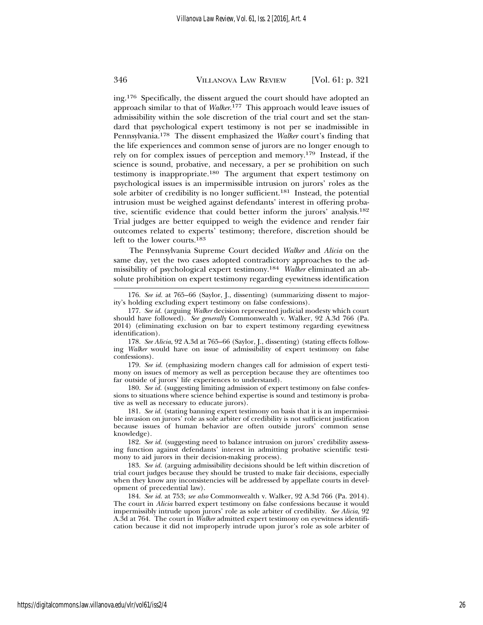ing.176 Specifically, the dissent argued the court should have adopted an approach similar to that of *Walker*. 177 This approach would leave issues of admissibility within the sole discretion of the trial court and set the standard that psychological expert testimony is not per se inadmissible in Pennsylvania.178 The dissent emphasized the *Walker* court's finding that the life experiences and common sense of jurors are no longer enough to rely on for complex issues of perception and memory.179 Instead, if the science is sound, probative, and necessary, a per se prohibition on such testimony is inappropriate.180 The argument that expert testimony on psychological issues is an impermissible intrusion on jurors' roles as the sole arbiter of credibility is no longer sufficient.181 Instead, the potential intrusion must be weighed against defendants' interest in offering probative, scientific evidence that could better inform the jurors' analysis.<sup>182</sup> Trial judges are better equipped to weigh the evidence and render fair outcomes related to experts' testimony; therefore, discretion should be left to the lower courts.<sup>183</sup>

The Pennsylvania Supreme Court decided *Walker* and *Alicia* on the same day, yet the two cases adopted contradictory approaches to the admissibility of psychological expert testimony.184 *Walker* eliminated an absolute prohibition on expert testimony regarding eyewitness identification

179. *See id.* (emphasizing modern changes call for admission of expert testimony on issues of memory as well as perception because they are oftentimes too far outside of jurors' life experiences to understand).

180. *See id.* (suggesting limiting admission of expert testimony on false confessions to situations where science behind expertise is sound and testimony is probative as well as necessary to educate jurors).

181. *See id.* (stating banning expert testimony on basis that it is an impermissible invasion on jurors' role as sole arbiter of credibility is not sufficient justification because issues of human behavior are often outside jurors' common sense knowledge).

182. *See id.* (suggesting need to balance intrusion on jurors' credibility assessing function against defendants' interest in admitting probative scientific testimony to aid jurors in their decision-making process).

183. *See id.* (arguing admissibility decisions should be left within discretion of trial court judges because they should be trusted to make fair decisions, especially when they know any inconsistencies will be addressed by appellate courts in development of precedential law).

184. *See id.* at 753; *see also* Commonwealth v. Walker, 92 A.3d 766 (Pa. 2014). The court in *Alicia* barred expert testimony on false confessions because it would impermissibly intrude upon jurors' role as sole arbiter of credibility. *See Alicia*, 92 A.3d at 764. The court in *Walker* admitted expert testimony on eyewitness identification because it did not improperly intrude upon juror's role as sole arbiter of

<sup>176.</sup> *See id.* at 765–66 (Saylor, J., dissenting) (summarizing dissent to majority's holding excluding expert testimony on false confessions).

<sup>177.</sup> *See id.* (arguing *Walker* decision represented judicial modesty which court should have followed). *See generally* Commonwealth v. Walker, 92 A.3d 766 (Pa. 2014) (eliminating exclusion on bar to expert testimony regarding eyewitness identification).

<sup>178.</sup> *See Alicia*, 92 A.3d at 765–66 (Saylor, J., dissenting) (stating effects following *Walker* would have on issue of admissibility of expert testimony on false confessions).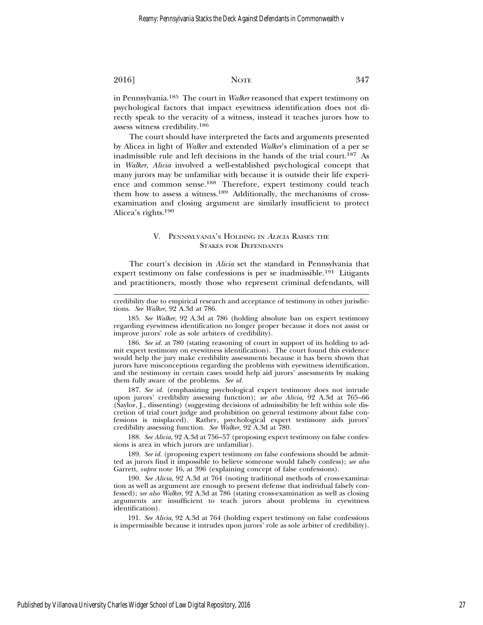in Pennsylvania.185 The court in *Walker* reasoned that expert testimony on psychological factors that impact eyewitness identification does not directly speak to the veracity of a witness, instead it teaches jurors how to assess witness credibility.<sup>186</sup>

The court should have interpreted the facts and arguments presented by Alicea in light of *Walker* and extended *Walker*'s elimination of a per se inadmissible rule and left decisions in the hands of the trial court.187 As in *Walker*, *Alicia* involved a well-established psychological concept that many jurors may be unfamiliar with because it is outside their life experience and common sense.188 Therefore, expert testimony could teach them how to assess a witness.189 Additionally, the mechanisms of crossexamination and closing argument are similarly insufficient to protect Alicea's rights.<sup>190</sup>

#### V. PENNSYLVANIA'S HOLDING IN <sup>A</sup>LICIA RAISES THE STAKES FOR DEFENDANTS

The court's decision in *Alicia* set the standard in Pennsylvania that expert testimony on false confessions is per se inadmissible.<sup>191</sup> Litigants and practitioners, mostly those who represent criminal defendants, will

credibility due to empirical research and acceptance of testimony in other jurisdictions. *See Walker*, 92 A.3d at 786.

185. *See Walker*, 92 A.3d at 786 (holding absolute ban on expert testimony regarding eyewitness identification no longer proper because it does not assist or improve jurors' role as sole arbiters of credibility).

186. *See id.* at 780 (stating reasoning of court in support of its holding to admit expert testimony on eyewitness identification). The court found this evidence would help the jury make credibility assessments because it has been shown that jurors have misconceptions regarding the problems with eyewitness identification, and the testimony in certain cases would help aid jurors' assessments by making them fully aware of the problems. *See id.*

187. *See id.* (emphasizing psychological expert testimony does not intrude upon jurors' credibility assessing function); *see also Alicia*, 92 A.3d at 765–66 (Saylor, J., dissenting) (suggesting decisions of admissibility be left within sole discretion of trial court judge and prohibition on general testimony about false confessions is misplaced). Rather, psychological expert testimony aids jurors' credibility assessing function. *See Walker*, 92 A.3d at 780.

188. *See Alicia*, 92 A.3d at 756–57 (proposing expert testimony on false confessions is area in which jurors are unfamiliar).

189. *See id.* (proposing expert testimony on false confessions should be admitted as jurors find it impossible to believe someone would falsely confess); *see also* Garrett, *supra* note 16, at 396 (explaining concept of false confessions).

190. *See Alicia*, 92 A.3d at 764 (noting traditional methods of cross-examination as well as argument are enough to present defense that individual falsely confessed); *see also Walker*, 92 A.3d at 786 (stating cross-examination as well as closing arguments are insufficient to teach jurors about problems in eyewitness identification).

191. *See Alicia*, 92 A.3d at 764 (holding expert testimony on false confessions is impermissible because it intrudes upon jurors' role as sole arbiter of credibility).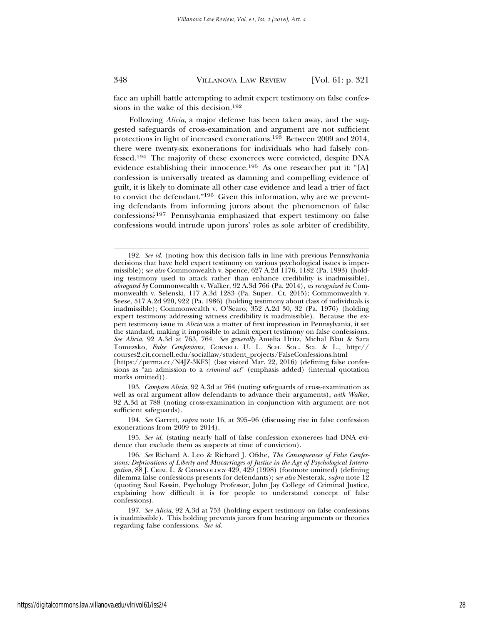face an uphill battle attempting to admit expert testimony on false confessions in the wake of this decision.<sup>192</sup>

Following *Alicia*, a major defense has been taken away, and the suggested safeguards of cross-examination and argument are not sufficient protections in light of increased exonerations.193 Between 2009 and 2014, there were twenty-six exonerations for individuals who had falsely confessed.194 The majority of these exonerees were convicted, despite DNA evidence establishing their innocence.195 As one researcher put it: "[A] confession is universally treated as damning and compelling evidence of guilt, it is likely to dominate all other case evidence and lead a trier of fact to convict the defendant."196 Given this information, why are we preventing defendants from informing jurors about the phenomenon of false confessions?197 Pennsylvania emphasized that expert testimony on false confessions would intrude upon jurors' roles as sole arbiter of credibility,

193. *Compare Alicia*, 92 A.3d at 764 (noting safeguards of cross-examination as well as oral argument allow defendants to advance their arguments), *with Walker*, 92 A.3d at 788 (noting cross-examination in conjunction with argument are not sufficient safeguards).

194. *See* Garrett, *supra* note 16, at 395–96 (discussing rise in false confession exonerations from 2009 to 2014).

195. *See id.* (stating nearly half of false confession exonerees had DNA evidence that exclude them as suspects at time of conviction).

<sup>192.</sup> *See id.* (noting how this decision falls in line with previous Pennsylvania decisions that have held expert testimony on various psychological issues is impermissible); *see also* Commonwealth v. Spence, 627 A.2d 1176, 1182 (Pa. 1993) (holding testimony used to attack rather than enhance credibility is inadmissible), *abrogated by* Commonwealth v. Walker, 92 A.3d 766 (Pa. 2014), *as recognized in* Commonwealth v. Selenski, 117 A.3d 1283 (Pa. Super. Ct. 2015); Commonwealth v. Seese, 517 A.2d 920, 922 (Pa. 1986) (holding testimony about class of individuals is inadmissible); Commonwealth v. O'Searo, 352 A.2d 30, 32 (Pa. 1976) (holding expert testimony addressing witness credibility is inadmissible). Because the expert testimony issue in *Alicia* was a matter of first impression in Pennsylvania, it set the standard, making it impossible to admit expert testimony on false confessions. *See Alicia*, 92 A.3d at 763, 764. *See generally* Amelia Hritz, Michal Blau & Sara Tomezsko, *False Confessions*, CORNELL U. L. SCH. SOC. SCI. & L., http:// courses2.cit.cornell.edu/sociallaw/student\_projects/FalseConfessions.html

<sup>[</sup>https://perma.cc/N4JZ-3KF3] (last visited Mar. 22, 2016) (defining false confessions as "an admission to a *criminal act*" (emphasis added) (internal quotation marks omitted)).

<sup>196.</sup> *See* Richard A. Leo & Richard J. Ofshe, *The Consequences of False Confessions: Deprivations of Liberty and Miscarriages of Justice in the Age of Psychological Interrogation*, 88 J. CRIM. L. & CRIMINOLOGY 429, 429 (1998) (footnote omitted) (defining dilemma false confessions presents for defendants); *see also* Nesterak, *supra* note 12 (quoting Saul Kassin, Psychology Professor, John Jay College of Criminal Justice, explaining how difficult it is for people to understand concept of false confessions).

<sup>197.</sup> *See Alicia*, 92 A.3d at 753 (holding expert testimony on false confessions is inadmissible). This holding prevents jurors from hearing arguments or theories regarding false confessions. *See id.*